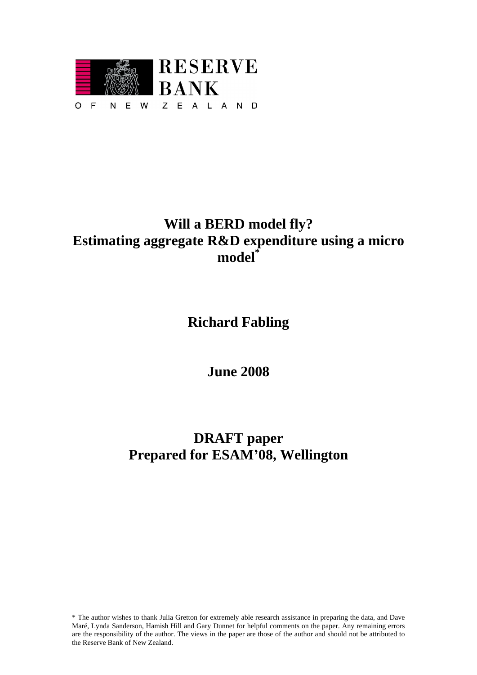

# Will a BERD model fly?<br>
Estimating aggregate R&D expenditure using a micromodel<sup>"</sup><br>
Richard Fabling<br>
June 2008<br> **Example 2008**<br> **Example 2008**<br> **Example 2008**<br> **Example 2008**<br> **Example 2008**<br> **Example 2008**<br> **Example 2008 Estimating aggregate R&D expenditure using a micro model\***

**Richard Fabling**

**June 2008**

# **DRAFT paper Prepared for ESAM 08, Wellington**

\* The author wishes to thank Julia Gretton for extremely able research assistance in preparing the data, and Dave Maré, Lynda Sanderson, Hamish Hill and Gary Dunnet for helpful comments on the paper. Any remaining errors are the responsibility of the author. The views in the paper are those of the author and should not be attributed to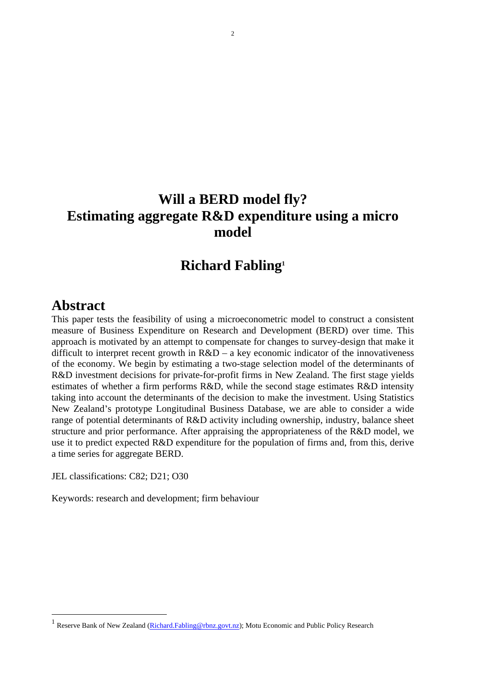# **Will a BERD model fly? Estimating aggregate R&D expenditure using a micro model**

## **Richard Fabling1**

## **Abstract**

This paper tests the feasibility of using a microeconometric model to construct a consistent measure of Business Expenditure on Research and Development (BERD) over time. This approach is motivated by an attempt to compensate for changes to survey-design that make it difficult to interpret recent growth in  $R&D - a$  key economic indicator of the innovativeness of the economy. We begin by estimating a two-stage selection model of the determinants of R&D investment decisions for private-for-profit firms in New Zealand. The first stage yields estimates of whether a firm performs R&D, while the second stage estimates R&D intensity taking into account the determinants of the decision to make the investment. Using Statistics New Zealand's prototype Longitudinal Business Database, we are able to consider a wide range of potential determinants of R&D activity including ownership, industry, balance sheet structure and prior performance. After appraising the appropriateness of the R&D model, we use it to predict expected R&D expenditure for the population of firms and, from this, derive a time series for aggregate BERD.

JEL classifications: C82; D21; O30

Keywords: research and development; firm behaviour

<sup>&</sup>lt;sup>1</sup> Reserve Bank of New Zealand (Richard.Fabling@rbnz.govt.nz); Motu Economic and Public Policy Research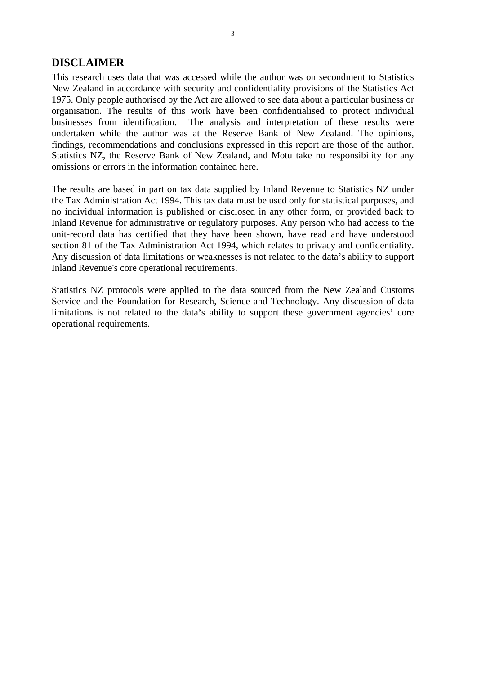### **DISCLAIMER**

This research uses data that was accessed while the author was on secondment to Statistics New Zealand in accordance with security and confidentiality provisions of the Statistics Act 1975. Only people authorised by the Act are allowed to see data about a particular business or organisation. The results of this work have been confidentialised to protect individual businesses from identification. The analysis and interpretation of these results were undertaken while the author was at the Reserve Bank of New Zealand. The opinions, findings, recommendations and conclusions expressed in this report are those of the author. Statistics NZ, the Reserve Bank of New Zealand, and Motu take no responsibility for any omissions or errors in the information contained here.

The results are based in part on tax data supplied by Inland Revenue to Statistics NZ under the Tax Administration Act 1994. This tax data must be used only for statistical purposes, and no individual information is published or disclosed in any other form, or provided back to Inland Revenue for administrative or regulatory purposes. Any person who had access to the unit-record data has certified that they have been shown, have read and have understood section 81 of the Tax Administration Act 1994, which relates to privacy and confidentiality. Any discussion of data limitations or weaknesses is not related to the data's ability to support Inland Revenue's core operational requirements.

Statistics NZ protocols were applied to the data sourced from the New Zealand Customs Service and the Foundation for Research, Science and Technology. Any discussion of data limitations is not related to the data's ability to support these government agencies' core operational requirements.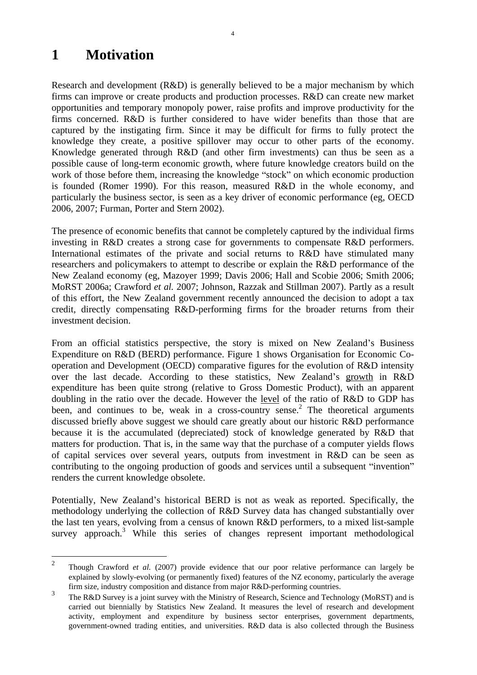# **1 Motivation**

Research and development (R&D) is generally believed to be a major mechanism by which firms can improve or create products and production processes. R&D can create new market opportunities and temporary monopoly power, raise profits and improve productivity for the firms concerned. R&D is further considered to have wider benefits than those that are captured by the instigating firm. Since it may be difficult for firms to fully protect the knowledge they create, a positive spillover may occur to other parts of the economy. Knowledge generated through R&D (and other firm investments) can thus be seen as a possible cause of long-term economic growth, where future knowledge creators build on the work of those before them, increasing the knowledge "stock" on which economic production is founded (Romer 1990). For this reason, measured R&D in the whole economy, and particularly the business sector, is seen as a key driver of economic performance (eg, OECD) 2006, 2007; Furman, Porter and Stern 2002).

The presence of economic benefits that cannot be completely captured by the individual firms investing in R&D creates a strong case for governments to compensate R&D performers. International estimates of the private and social returns to R&D have stimulated many researchers and policymakers to attempt to describe or explain the R&D performance of the New Zealand economy (eg, Mazoyer 1999; Davis 2006; Hall and Scobie 2006; Smith 2006; MoRST 2006a; Crawford *et al.* 2007; Johnson, Razzak and Stillman 2007). Partly as a result of this effort, the New Zealand government recently announced the decision to adopt a tax credit, directly compensating R&D-performing firms for the broader returns from their investment decision.

From an official statistics perspective, the story is mixed on New Zealand's Business Expenditure on R&D (BERD) performance. Figure 1 shows Organisation for Economic Co operation and Development (OECD) comparative figures for the evolution of R&D intensity over the last decade. According to these statistics, New Zealand's growth in R&D expenditure has been quite strong (relative to Gross Domestic Product), with an apparent doubling in the ratio over the decade. However the level of the ratio of R&D to GDP has been, and continues to be, weak in a cross-country sense.<sup>2</sup> The theoretical arguments discussed briefly above suggest we should care greatly about our historic R&D performance because it is the accumulated (depreciated) stock of knowledge generated by R&D that matters for production. That is, in the same way that the purchase of a computer yields flows of capital services over several years, outputs from investment in R&D can be seen as contributing to the ongoing production of goods and services until a subsequent "invention" renders the current knowledge obsolete.

Potentially, New Zealand's historical BERD is not as weak as reported. Specifically, the methodology underlying the collection of R&D Survey data has changed substantially over the last ten years, evolving from a census of known R&D performers, to a mixed list-sample survey approach.<sup>3</sup> While this series of changes represent important methodological

 <sup>2</sup> Though Crawford *et al.* (2007) provide evidence that our poor relative performance can largely be explained by slowly-evolving (or permanently fixed) features of the NZ economy, particularly the average firm size, industry composition and distance from major R&D-performing countries.

 $\frac{3}{10}$  The R&D Survey is a joint survey with the Ministry of Research, Science and Technology (MoRST) and is carried out biennially by Statistics New Zealand. It measures the level of research and development activity, employment and expenditure by business sector enterprises, government departments, government-owned trading entities, and universities. R&D data is also collected through the Business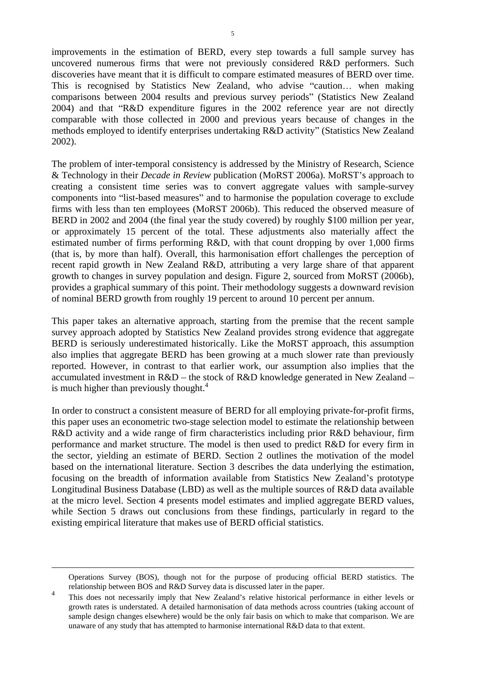improvements in the estimation of BERD, every step towards a full sample survey has uncovered numerous firms that were not previously considered R&D performers. Such discoveries have meant that it is difficult to compare estimated measures of BERD over time. This is recognised by Statistics New Zealand, who advise "caution... when making comparisons between 2004 results and previous survey periods" (Statistics New Zealand  $2004$ ) and that "R&D expenditure figures in the  $2002$  reference year are not directly comparable with those collected in 2000 and previous years because of changes in the methods employed to identify enterprises undertaking R&D activity" (Statistics New Zealand 2002).

The problem of inter-temporal consistency is addressed by the Ministry of Research, Science & Technology in their *Decade in Review* publication (MoRST 2006a). MoRST s approach to creating a consistent time series was to convert aggregate values with sample-survey components into "list-based measures" and to harmonise the population coverage to exclude firms with less than ten employees (MoRST 2006b). This reduced the observed measure of BERD in 2002 and 2004 (the final year the study covered) by roughly \$100 million per year, or approximately 15 percent of the total. These adjustments also materially affect the estimated number of firms performing R&D, with that count dropping by over 1,000 firms (that is, by more than half). Overall, this harmonisation effort challenges the perception of recent rapid growth in New Zealand R&D, attributing a very large share of that apparent growth to changes in survey population and design. Figure 2, sourced from MoRST (2006b), provides a graphical summary of this point. Their methodology suggests a downward revision of nominal BERD growth from roughly 19 percent to around 10 percent per annum.

This paper takes an alternative approach, starting from the premise that the recent sample survey approach adopted by Statistics New Zealand provides strong evidence that aggregate BERD is seriously underestimated historically. Like the MoRST approach, this assumption also implies that aggregate BERD has been growing at a much slower rate than previously reported. However, in contrast to that earlier work, our assumption also implies that the accumulated investment in  $R&D$  – the stock of  $R&D$  knowledge generated in New Zealand – is much higher than previously thought. $4$ 

In order to construct a consistent measure of BERD for all employing private-for-profit firms, this paper uses an econometric two-stage selection model to estimate the relationship between R&D activity and a wide range of firm characteristics including prior R&D behaviour, firm performance and market structure. The model is then used to predict R&D for every firm in the sector, yielding an estimate of BERD. Section 2 outlines the motivation of the model based on the international literature. Section 3 describes the data underlying the estimation, focusing on the breadth of information available from Statistics New Zealand's prototype Longitudinal Business Database (LBD) as well as the multiple sources of R&D data available at the micro level. Section 4 presents model estimates and implied aggregate BERD values, while Section 5 draws out conclusions from these findings, particularly in regard to the existing empirical literature that makes use of BERD official statistics.

Operations Survey (BOS), though not for the purpose of producing official BERD statistics. The relationship between BOS and R&D Survey data is discussed later in the paper.

<sup>&</sup>lt;sup>4</sup> This does not necessarily imply that New Zealand's relative historical performance in either levels or growth rates is understated. A detailed harmonisation of data methods across countries (taking account of sample design changes elsewhere) would be the only fair basis on which to make that comparison. We are unaware of any study that has attempted to harmonise international R&D data to that extent.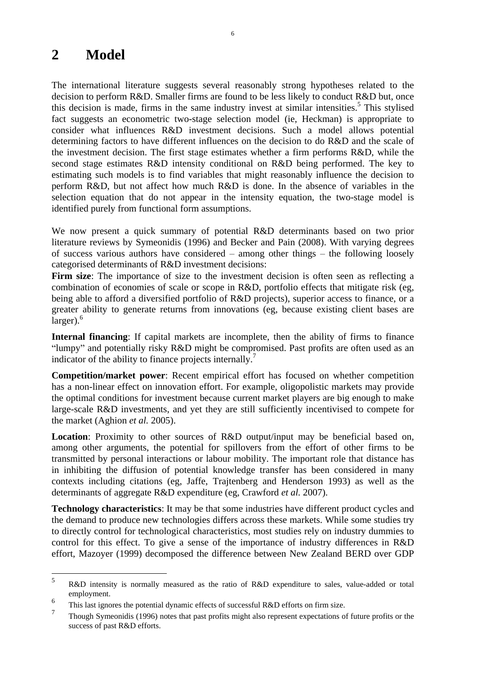# **2 Model**

The international literature suggests several reasonably strong hypotheses related to the decision to perform R&D. Smaller firms are found to be less likely to conduct R&D but, once this decision is made, firms in the same industry invest at similar intensities.<sup>5</sup> This stylised fact suggests an econometric two-stage selection model (ie, Heckman) is appropriate to consider what influences R&D investment decisions. Such a model allows potential determining factors to have different influences on the decision to do R&D and the scaleof the investment decision. The first stage estimates whether a firm performs R&D, while the second stage estimates R&D intensity conditional on R&D being performed. The key to estimating such models is to find variables that might reasonably influence the decision to perform R&D, but not affect how much R&D is done. In the absence of variables in the selection equation that do not appear in the intensity equation, the two-stage model is identified purely from functional form assumptions.

We now present a quick summary of potential R&D determinants based on two prior literature reviews by Symeonidis (1996) and Becker and Pain (2008). With varying degrees of success various authors have considered  $-$  among other things  $-$  the following loosely categorised determinants of R&D investment decisions:

**Firm size**: The importance of size to the investment decision is often seen as reflecting a combination of economies of scale or scope in R&D, portfolio effects that mitigate risk (eg, being able to afford a diversified portfolio of R&D projects), superior access to finance, or a greater ability to generate returns from innovations (eg, because existing client bases are  $\text{larger.}^6$ 

**Internal financing**: If capital markets are incomplete, then the ability of firms to finance "lumpy" and potentially risky R&D might be compromised. Past profits are often used as an indicator of the ability to finance projects internally.<sup>7</sup>

**Competition/market power**: Recent empirical effort has focused on whether competition has a non-linear effect on innovation effort. For example, oligopolistic markets may provide the optimal conditions for investment because current market players are big enough to make large-scale R&D investments, and yet they are still sufficiently incentivised to compete for the market (Aghion *et al.* 2005).

**Location**: Proximity to other sources of R&D output/input may be beneficial based on, among other arguments, the potential for spillovers from the effort of other firms to be transmitted by personal interactions or labour mobility. The important role that distance has in inhibiting the diffusion of potential knowledge transfer has been considered in many contexts including citations (eg, Jaffe, Trajtenberg and Henderson 1993) as well as the determinants of aggregate R&D expenditure (eg, Crawford *et al.* 2007).

**Technology characteristics**: It may be that some industries have different product cycles and the demand to produce new technologies differs across these markets. While some studies try to directly control for technological characteristics, most studies rely on industry dummies to control for this effect. To give a sense of the importance of industry differences in R&D effort, Mazoyer (1999) decomposed the difference between New Zealand BERD over GDP

<sup>5&</sup>lt;br>**5** R&D intensity is normally measured as the ratio of R&D expenditure to sales, value-added or total employment.

 $\frac{6}{7}$  This last ignores the potential dynamic effects of successful R&D efforts on firm size.

<sup>7</sup> Though Symeonidis (1996) notes that past profits might also represent expectations of future profits or the success of past R&D efforts.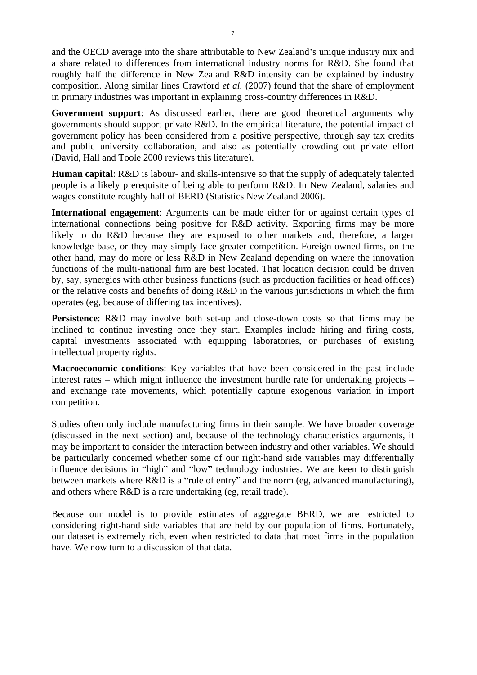and the OECD average into the share attributable to New Zealand's unique industry mix and a share related to differences from international industry norms for R&D. She found that roughly half the difference in New Zealand R&D intensity can be explained by industry composition. Along similar lines Crawford *et al.* (2007) found that the share of employment in primary industries was important in explaining cross-country differences in R&D.

**Government support**: As discussed earlier, there are good theoretical arguments why governments should support private R&D. In the empirical literature, the potential impact of government policy has been considered from a positive perspective, through say tax credits and public university collaboration, and also as potentially crowding out private effort (David, Hall and Toole 2000 reviews this literature).

**Human capital**: R&D is labour- and skills-intensive so that the supply of adequately talented people is a likely prerequisite of being able to perform R&D. In New Zealand, salaries and wages constitute roughly half of BERD (Statistics New Zealand 2006).

**International engagement**: Arguments can be made either for or against certain types of international connections being positive for R&D activity. Exporting firms may be more likely to do R&D because they are exposed to other markets and, therefore, a larger knowledge base, or they may simply face greater competition. Foreign-owned firms, on the other hand, may do more or less R&D in New Zealand depending on where the innovation functions of the multi-national firm are best located. That location decision could be driven by, say, synergies with other business functions (such as production facilities or head offices) or the relative costs and benefits of doing R&D in the various jurisdictions in which the firm operates (eg, because of differing tax incentives).

**Persistence**: R&D may involve both set-up and close-down costs so that firms may be inclined to continue investing once they start. Examples include hiring and firing costs, capital investments associated with equipping laboratories, or purchases of existing intellectual property rights.

**Macroeconomic conditions**: Key variables that have been considered in the past include interest rates – which might influence the investment hurdle rate for undertaking projects – and exchange rate movements, which potentially capture exogenous variation in import competition.

Studies often only include manufacturing firms in their sample. We have broader coverage (discussed in the next section) and, because of the technology characteristics arguments, it may be important to consider the interaction between industry and other variables. We should be particularly concerned whether some of our right-hand side variables may differentially influence decisions in "high" and "low" technology industries. We are keen to distinguish between markets where  $R&D$  is a "rule of entry" and the norm (eg, advanced manufacturing), and others where R&D is a rare undertaking (eg, retail trade).

Because our model is to provide estimates of aggregate BERD, we are restricted to considering right-hand side variables that areheld by our population of firms. Fortunately, our dataset is extremely rich, even when restricted to data that most firms in the population have. We now turn to a discussion of that data.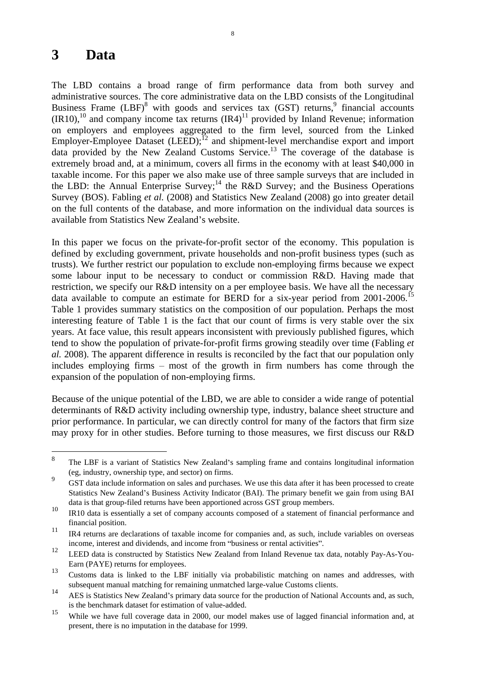## **3 Data**

The LBD contains a broad range of firm performance data from both survey and administrative sources. The core administrative data on the LBD consists of the Longitudinal Business Frame  $(LBF)^8$  with goods and services tax  $(GST)$  returns, financial accounts financial accounts  $(IR10)$ ,<sup>10</sup> and company income tax returns  $(IR4)$ <sup>11</sup> provided by Inland Revenue; information on employers and employees aggregated to the firm level, sourced from the Linked Employer-Employee Dataset (LEED); $^{12}$  and shipment-level merchandise export and import data provided by the New Zealand Customs Service.<sup>13</sup> The coverage of the database is extremely broad and, at a minimum, covers all firms in the economy with at least \$40,000 in taxable income. For this paper we also make use of three sample surveys that are included in the LBD: the Annual Enterprise Survey;<sup>14</sup> the R&D Survey; and the Business Operations Survey (BOS). Fabling *et al.* (2008) and Statistics New Zealand (2008) go into greater detail on the full contents of the database, and more information on the individual data sources is available from Statistics New Zealand's website.

In this paper we focus on the private-for-profit sector of the economy. This population is defined by excluding government, private households and non-profit business types (such as trusts). We further restrict our population to exclude non-employing firms because we expect some labour input to be necessary to conduct or commission R&D. Having made that restriction, we specify our R&D intensity on a per employee basis. We have all the necessary data available to compute an estimate for BERD for a six-year period from 2001-2006.<sup>15</sup> Table 1 provides summary statistics on the composition of our population. Perhaps the most interesting feature of Table 1 is the fact that our count of firms is very stable over the six years. At face value, this result appears inconsistent with previously published figures, which tend to show the population of private-for-profit firms growing steadily over time (Fabling *et al.* 2008). The apparent difference in results is reconciled by the fact that our population only includes employing firms  $-$  most of the growth in firm numbers has come through the expansion of the population of non-employing firms.

Because of the unique potential of the LBD, we are able to consider a wide range of potential determinants of R&D activity including ownership type, industry, balance sheet structure and prior performance. In particular, we can directly control for many of the factors that firm size may proxy for in other studies. Before turning to those measures, we first discuss our R&D

<sup>&</sup>lt;sup>8</sup> The LBF is a variant of Statistics New Zealand's sampling frame and contains longitudinal information

<sup>(</sup>eg, industry, ownership type, and sector) on firms.<br>
9 GST data include information on sales and purchases. We use this data after it has been processed to create Statistics New Zealand's Business Activity Indicator (BAI). The primary benefit we gain from using BAI data is that group-filed returns have been apportioned across GST group members.

<sup>&</sup>lt;sup>10</sup> IR10 data is essentially a set of company accounts composed of a statement of financial performance and financial position.

<sup>&</sup>lt;sup>11</sup> IR4 returns are declarations of taxable income for companies and, as such, include variables on overseas

income, interest and dividends, and income from "business or rental activities".<br><sup>12</sup> LEED data is constructed by Statistics New Zealand from Inland Revenue tax data, notably Pay-As-You-Earn (PAYE) returns for employees.

<sup>13</sup> Customs data is linked to the LBF initially via probabilistic matching on names and addresses, with subsequent manual matching for remaining unmatched large-value Customs clients.

<sup>&</sup>lt;sup>14</sup> AES is Statistics New Zealand's primary data source for the production of National Accounts and, as such, is the benchmark dataset for estimation of value-added.

<sup>&</sup>lt;sup>15</sup> While we have full coverage data in 2000, our model makes use of lagged financial information and, at present, there is no imputation in the database for 1999.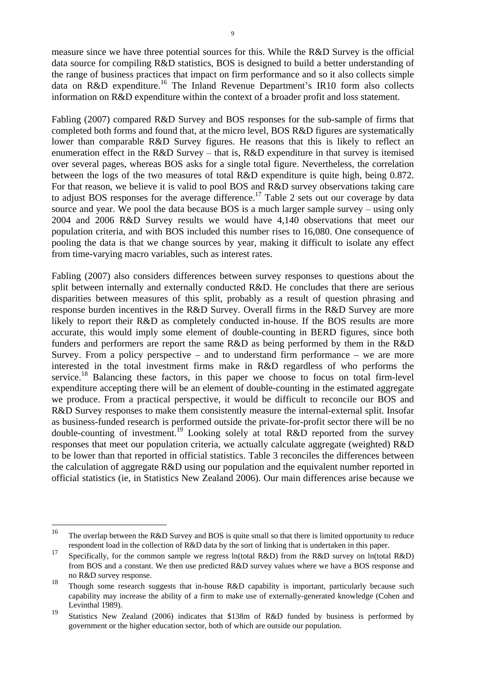9

measure since we have three potential sources for this. While the R&D Survey is the official data source for compiling R&D statistics, BOS is designed to build a better understanding of the range of business practices that impact on firm performance and so it also collects simple data on R&D expenditure.<sup>16</sup> The Inland Revenue Department's IR10 form also collects information on R&D expenditure within the context of a broader profit and loss statement.

Fabling (2007) compared R&D Survey and BOS responses for the sub-sample of firms that completed both forms and found that, at the micro level, BOS R&D figures are systematically lower than comparable R&D Survey figures. He reasons that this is likely to reflect an enumeration effect in the R&D Survey  $-$  that is, R&D expenditure in that survey is itemised over several pages, whereas BOS asks for a single total figure. Nevertheless, the correlation between the logs of the two measures of total R&D expenditure is quite high, being 0.872. For that reason, we believe it is valid to pool BOS and R&D survey observations taking care to adjust BOS responses for the average difference.<sup>17</sup> Table 2 sets out our coverage by data source and year. We pool the data because BOS is a much larger sample survey  $-$  using only 2004 and 2006 R&D Survey results we would have 4,140 observations that meet our population criteria, and with BOS included this number rises to 16,080. One consequence of pooling the data is that we change sources by year, making it difficult to isolate any effect from time-varying macro variables, such as interest rates.

Fabling (2007) also considers differences between survey responses to questions about the split between internally and externally conducted R&D. He concludes that there are serious disparities between measures of this split, probably as a result of question phrasing and response burden incentives in the R&D Survey. Overall firms in the R&D Survey are more likely to report their R&D as completely conducted in-house. If the BOS results are more accurate, this would imply some element of double-counting in BERD figures, since both funders and performers are report the same R&D as being performed by them in the R&D Survey. From a policy perspective  $-$  and to understand firm performance  $-$  we are more interested in the total investment firms make in R&D regardless of who performs the service.<sup>18</sup> Balancing these factors, in this paper we choose to focus on total firm-level expenditure accepting there will be an element of double-counting in the estimated aggregate we produce. From a practical perspective, it would be difficult to reconcile our BOS and R&D Survey responses to make them consistently measure the internal-external split. Insofar as business-funded research is performed outside the private-for-profit sector there will be no double-counting of investment.<sup>19</sup> Looking solely at total R&D reported from the survey responses that meet our population criteria, we actually calculate aggregate (weighted) R&D to be lower than that reported in official statistics. Table 3 reconciles the differences between the calculation of aggregate R&D using our population and the equivalent number reported in official statistics (ie, in Statistics New Zealand 2006). Our main differences arise because we

<sup>&</sup>lt;sup>16</sup> The overlap between the R&D Survey and BOS is quite small so that there is limited opportunity to reduce respondent load in the collection of R&D data by the sort of linking that is undertaken in this paper.

<sup>17</sup> Specifically, for the common sample we regress ln(total R&D) from the R&D survey on ln(total R&D) from BOS and a constant. We then use predicted R&D survey values where we have a BOS response and no R&D survey response.

<sup>18</sup> Though some research suggests that in-house R&D capability is important, particularly because such capability may increase the ability of a firm to make use of externally-generated knowledge (Cohen and Levinthal 1989).

<sup>19</sup> Statistics New Zealand (2006) indicates that \$138m of R&D funded by business is performed by government or the higher education sector, both of which are outside our population.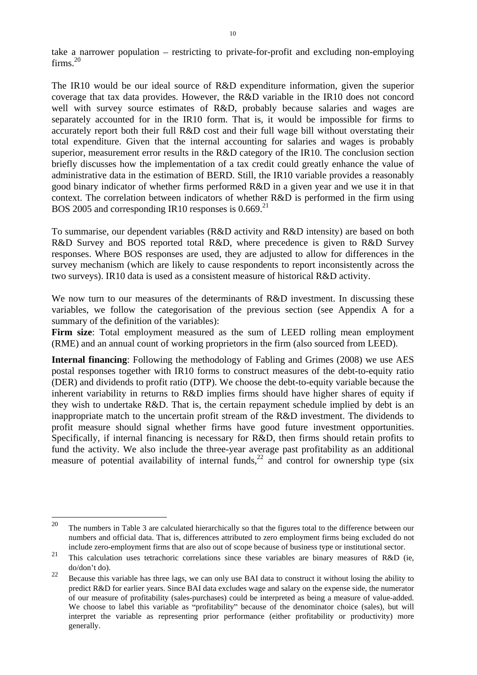take a narrower population – restricting to private-for-profit and excluding non-employing firms.<sup>20</sup>  $ext{times}^{20}$ 

The IR10 would be our ideal source of R&D expenditure information, given the superior coverage that tax data provides. However, the R&D variable in the IR10 does not concord well with survey source estimates of R&D, probably because salaries and wages are separately accounted for in the IR10 form. That is, it would be impossible for firms to accurately report both their full  $R&D$  cost and their full wage bill without overstating their total expenditure. Given that the internal accounting for salaries and wages is probably superior, measurement error results in the R&D category of the IR10. The conclusion section briefly discusses how the implementation of a tax credit could greatly enhance the value of administrative data in the estimation of BERD. Still, the IR10 variable provides a reasonably good binary indicator of whether firms performed R&D in a given year and we use it in that context. The correlation between indicators of whether R&D is performed in the firm using BOS 2005 and corresponding IR10 responses is  $0.669$ <sup>21</sup>

To summarise, our dependent variables (R&D activity and R&D intensity) are based on both R&D Survey and BOS reported total R&D, where precedence is given to R&D Survey responses. Where BOS responses are used, they are adjusted to allow for differences in the survey mechanism (which are likely to cause respondents to report inconsistently across the two surveys). IR10 data is used as a consistent measure of historical R&D activity.

We now turn to our measures of the determinants of R&D investment. In discussing these variables, we follow the categorisation of the previous section (see Appendix A for a summary of the definition of the variables):

**Firm size**: Total employment measured as the sum of LEED rolling mean employment (RME) and an annual count of working proprietors in the firm (also sourced from LEED).

**Internal financing**: Following the methodology of Fabling and Grimes (2008) we use AES postal responses together with IR10 forms to construct measures of the debt-to-equity ratio (DER) and dividends to profit ratio (DTP). We choose the debt-to-equity variable because the inherent variability in returns to R&D implies firms should have higher shares of equity if they wish to undertake R&D. That is, the certain repayment schedule implied by debt is an inappropriate match to the uncertain profit stream of the R&D investment. The dividends to profit measure should signal whether firms have good future investment opportunities. Specifically, if internal financing is necessary for R&D, then firms should retain profits to fund the activity. We also include the three-year average past profitability as an additional measure of potential availability of internal funds,  $22$  and control for ownership type (six

<sup>&</sup>lt;sup>20</sup> The numbers in Table 3 are calculated hierarchically so that the figures total to the difference between our numbers and official data. That is, differences attributed to zero employment firms being excluded do not include zero-employment firms that are also out of scope because of business type or institutional sector.

<sup>&</sup>lt;sup>21</sup> This calculation uses tetrachoric correlations since these variables are binary measures of R&D (ie,  $\frac{d}{d}$  do/don't do).<br>Because this variable has three lags, we can only use BAI data to construct it without losing the ability to

predict R&D for earlier years. Since BAI data excludes wage and salary on the expense side, the numerator of our measure of profitability (sales-purchases) could be interpreted as being a measure of value-added. We choose to label this variable as "profitability" because of the denominator choice (sales), but will interpret the variable as representing prior performance (either profitability or productivity) more generally.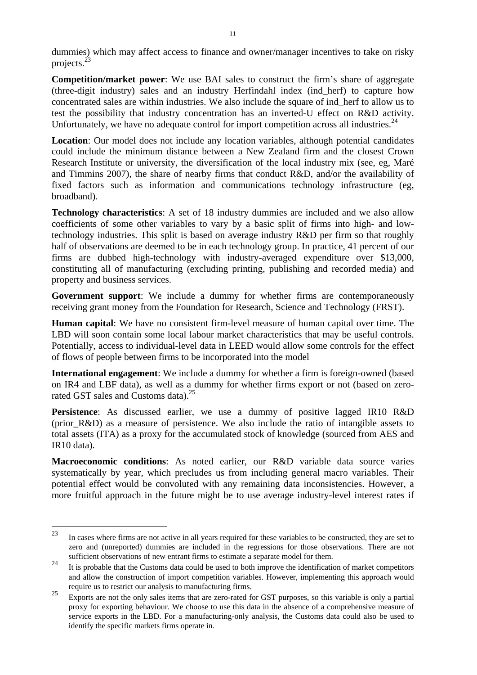dummies) which may affect access to finance and owner/manager incentives to take on risky  $\text{projects.}^{23}$ 

**Competition/market power:** We use BAI sales to construct the firm's share of aggregate (three-digit industry) sales and an industry Herfindahl index (ind\_herf) to capture how concentrated sales are within industries. We also include the square of ind\_herf to allow us to test the possibility that industry concentration has an inverted-U effect on R&D activity. Unfortunately, we have no adequate control for import competition across all industries.<sup>24</sup>

**Location**: Our model does not include any location variables, although potential candidates could include the minimum distance between a New Zealand firm and the closest Crown Research Institute or university, the diversification of the local industry mix (see, eg, Maré and Timmins 2007), the share of nearby firms that conduct R&D, and/or the availability of fixed factors such as information and communications technology infrastructure (eg, broadband).

**Technology characteristics**: A set of 18 industry dummies are included and we also allow coefficients of some other variables to vary by a basic split of firms into high- and lowtechnology industries. This split is based on average industry R&D per firm so that roughly half of observations are deemed to be in each technology group. In practice, 41 percent of our firms are dubbed high-technology with industry-averaged expenditure over \$13,000, constituting all of manufacturing (excluding printing, publishing and recorded media) and property and business services.

**Government support**: We include a dummy for whether firms are contemporaneously receiving grant money from the Foundation for Research, Science and Technology (FRST).

**Human capital**: We have no consistent firm-level measure of human capital over time. The LBD will soon contain some local labour market characteristics that may be useful controls. Potentially, access to individual-level data in LEED would allow some controls for the effect of flows of people between firms to be incorporated into the model

**International engagement**: We include a dummy for whether a firm is foreign-owned (based on IR4 and LBF data), as well as a dummy for whether firms export or not (based on zerorated GST sales and Customs data).<sup>25</sup>

**Persistence**: As discussed earlier, we use a dummy of positive lagged IR10 R&D (prior\_R&D) as a measure of persistence. We also include the ratio of intangible assets to total assets (ITA) as a proxy for the accumulated stock of knowledge (sourced from AES and IR10 data).

**Macroeconomic conditions**: As noted earlier, our R&D variable data source varies systematically by year, which precludes us from including general macro variables. Their potential effect would be convoluted with any remaining data inconsistencies. However, a more fruitful approach in the future might be to use average industry-level interest rates if

 <sup>23</sup> In cases where firms are not active in all years required for these variables to be constructed, they are set to zero and (unreported) dummies are included in the regressions for those observations. There are not sufficient observations of new entrant firms to estimate a separate model for them.

<sup>&</sup>lt;sup>24</sup> It is probable that the Customs data could be used to both improve the identification of market competitors and allow the construction of import competition variables. However, implementing this approach would require us to restrict our analysis to manufacturing firms.

<sup>&</sup>lt;sup>25</sup> Exports are not the only sales items that are zero-rated for GST purposes, so this variable is only a partial proxy for exporting behaviour. We choose to use this data in the absence of a comprehensive measure of service exports in the LBD. For a manufacturing-only analysis, the Customs data could also be used to identify the specific markets firms operate in.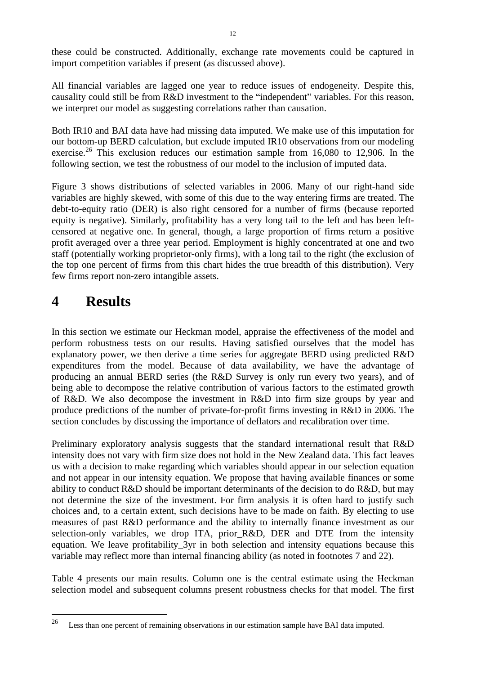these could be constructed. Additionally, exchange rate movements could be captured in import competition variables if present (as discussed above).

All financial variables are lagged one year to reduce issues of endogeneity. Despite this, causality could still be from R&D investment to the "independent" variables. For this reason, we interpret our model as suggesting correlations rather than causation.

Both IR10 and BAI data have had missing data imputed. We make use of this imputation for our bottom-up BERD calculation, but exclude imputed IR10 observations from our modeling exercise.<sup>26</sup> This exclusion reduces our estimation sample from  $16,080$  to  $12,906$ . In the following section, we test the robustness of our model to the inclusion of imputed data.

Figure 3 shows distributions of selected variables in 2006. Many of our right-hand side variables are highly skewed, with some of this due to theway entering firms are treated. The debt-to-equity ratio (DER) is also right censored for a number of firms (because reported equity is negative). Similarly, profitability has a very long tail to the left and has been left censored at negative one. In general, though, a large proportion of firms return a positive profit averaged over a three year period. Employment is highly concentrated at one and two staff (potentially working proprietor-only firms), with a long tail to the right (the exclusion of the top one percent of firms from this chart hides the true breadth of this distribution). Very few firms report non-zero intangible assets.

## **4 Results**

In this section we estimate our Heckman model, appraise the effectiveness of the model and perform robustness tests on our results. Having satisfied ourselves that the model has explanatory power, we then derive a time series for aggregate BERD using predicted R&D expenditures from the model. Because of data availability, we have the advantage of producing an annual BERD series (the R&D Survey is only run every two years), and of being able to decompose the relative contribution of various factors to the estimated growth of R&D. We also decompose the investment in R&D into firm size groups by year and produce predictions of the number of private-for-profit firms investing in R&D in 2006. The section concludes by discussing the importance of deflators and recalibration over time.

Preliminary exploratory analysis suggests that the standard international result that R&D intensity does not vary with firm size does not hold in the New Zealand data. This fact leaves us with a decision to make regarding which variables should appear in our selection equation and not appear in our intensity equation. We propose that having available finances or some ability to conduct R&D should be important determinants of the decision to do R&D, but may not determine the size of the investment. For firm analysis it is often hard to justify such choices and, to a certain extent, such decisions have to be made on faith. By electing to use measures of past R&D performance and the ability to internally finance investment as our selection-only variables, we drop ITA, prior\_R&D, DER and DTE from the intensity equation. We leave profitability\_3yr in both selection and intensity equations because this variable may reflect more than internal financing ability (as noted in footnotes 7 and 22).

Table 4 presents our main results. Column one is the central estimate using the Heckman selection model and subsequent columns present robustness checks for that model. The first

<sup>&</sup>lt;sup>26</sup> Less than one percent of remaining observations in our estimation sample have BAI data imputed.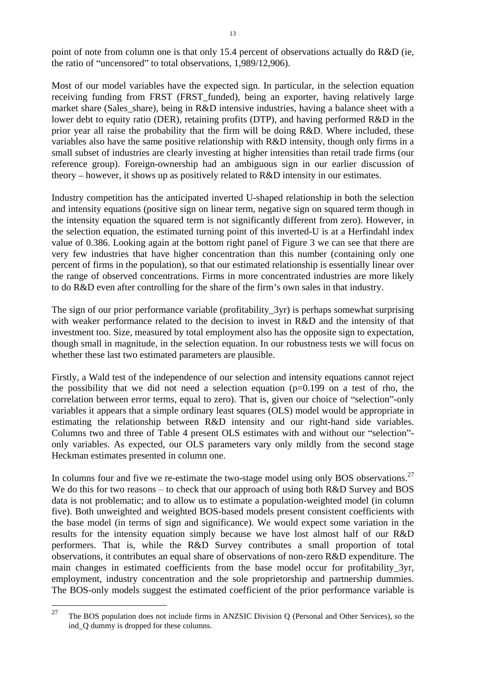point of note from column one is that only 15.4 percent of observations actually do R&D (ie, the ratio of "uncensored" to total observations, 1,989/12,906).

Most of our model variables have the expected sign. In particular, in the selection equation receiving funding from FRST (FRST\_funded), being an exporter, having relatively large market share (Sales\_share), being in R&D intensive industries, having a balance sheet with a lower debt to equity ratio (DER), retaining profits (DTP), and having performed R&D in the prior year all raise the probability that the firm will be doing R&D. Where included, these variables also have the same positive relationship with R&D intensity, though only firms in a small subset of industries are clearly investing at higher intensities than retail trade firms (our reference group). Foreign-ownership had an ambiguous sign in our earlier discussion of theory – however, it shows up as positively related to  $R&D$  intensity in our estimates.

Industry competition has the anticipated inverted U-shaped relationship in both the selection and intensity equations (positive sign on linear term, negative sign on squared term though in the intensity equation the squared term is not significantly different from zero). However, in the selection equation, the estimated turning point of this inverted-U is at a Herfindahl index value of 0.386. Looking again at the bottom right panel of Figure 3 we can see that there are very few industries that have higher concentration than this number (containing only one percent of firms in the population), so that our estimated relationship is essentially linear over the range of observed concentrations. Firms in more concentrated industries are more likely to do R&D even after controlling for the share of the firm's own sales in that industry.

The sign of our prior performance variable (profitability\_3yr) is perhaps somewhat surprising with weaker performance related to the decision to invest in R&D and the intensity of that investment too. Size, measured by total employment also has the opposite sign to expectation, though small in magnitude, in the selection equation. In our robustness tests we will focus on whether these last two estimated parameters are plausible.

Firstly, a Wald test of the independence of our selection and intensity equations cannot reject the possibility that we did not need a selection equation  $(p=0.199)$  on a test of rho, the correlation between error terms, equal to zero). That is, given our choice of "selection"-only variables it appears that a simple ordinary least squares (OLS) model would be appropriate in estimating the relationship between R&D intensity and our right-hand side variables. Columns two and three of Table 4 present OLS estimates with and without our "selection"only variables. As expected, our OLS parameters vary only mildly from the second stage Heckman estimates presented in column one.

In columns four and five we re-estimate the two-stage model using only BOS observations.<sup>27</sup> We do this for two reasons  $-$  to check that our approach of using both R&D Survey and BOS data is not problematic; and to allow us to estimate a population-weighted model (in column five). Both unweighted and weighted BOS-based models present consistent coefficients with the base model (in terms of sign and significance). We would expect some variation in the results for the intensity equation simply because we have lost almost half of our R&D performers. That is, while the R&D Survey contributes a small proportion of total observations, it contributes an equal share of observations of non-zero R&D expenditure. The main changes in estimated coefficients from the base model occur for profitability\_3yr, employment, industry concentration and the sole proprietorship and partnership dummies. The BOS-only models suggest the estimated coefficient of the prior performance variable is

<sup>&</sup>lt;sup>27</sup> The BOS population does not include firms in ANZSIC Division Q (Personal and Other Services), so the ind\_Q dummy is dropped for these columns.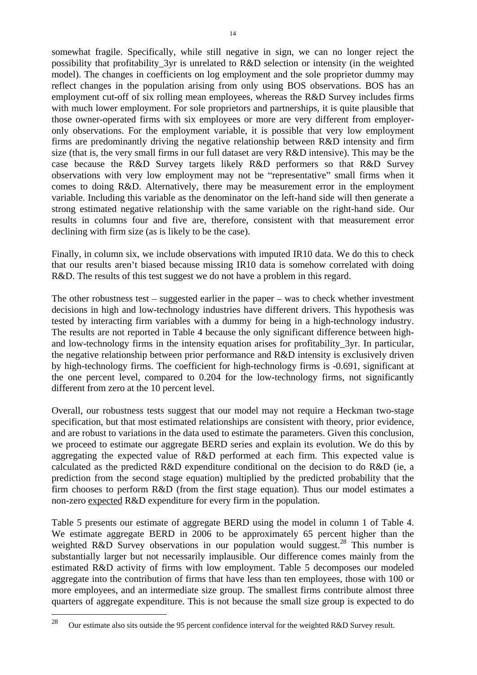somewhat fragile. Specifically, while still negative in sign, we can no longer reject the possibility that profitability\_3yr is unrelated to R&D selection or intensity (in the weighted model). The changes in coefficients on log employment and the sole proprietor dummy may reflect changes in the population arising from only using BOS observations. BOS has an employment cut-off of six rolling mean employees, whereas the R&D Survey includes firms with much lower employment. For sole proprietors and partnerships, it is quite plausible that those owner-operated firms with six employees or more are very different from employer only observations. For the employment variable, it is possible that very low employment firms are predominantly driving the negative relationship between R&D intensity and firm size (that is, the very small firms in our full dataset are very R&D intensive). This may be the case because the R&D Survey targets likely R&D performers so that R&D Survey observations with very low employment may not be "representative" small firms when it comes to doing R&D. Alternatively, there may be measurement error in the employment variable. Including this variable as the denominator on the left-hand side will then generate a strong estimated negative relationship with the same variable on the right-hand side. Our results in columns four and five are, therefore, consistent with that measurement error declining with firm size (as is likely to be the case).

Finally, in column six, we include observations with imputed IR10 data. We do this to check that our results aren't biased because missing IR10 data is somehow correlated with doing R&D. The results of this test suggest we do not have a problem in this regard.

The other robustness test  $-$  suggested earlier in the paper  $-$  was to check whether investment decisions in high and low-technology industries have different drivers. This hypothesis was tested by interacting firm variables with a dummy for being in a high-technology industry. The results are not reported in Table 4 because the only significant difference between highand low-technology firms in the intensity equation arises for profitability\_3yr. In particular, the negative relationship between prior performance and R&D intensity is exclusively driven by high-technology firms. The coefficient for high-technology firms is -0.691, significant at the one percent level, compared to 0.204 for the low-technology firms, not significantly different from zero at the 10 percent level.

Overall, our robustness tests suggest that our model may not require a Heckman two-stage specification, but that most estimated relationships are consistent with theory, prior evidence, and are robust to variations in the data used to estimate the parameters. Given this conclusion, we proceed to estimate our aggregate BERD series and explain its evolution. We do this by aggregating the expected value of R&D performed at each firm.This expected value is calculated as the predicted R&D expenditure conditional on the decision to do R&D (ie, a prediction from the second stage equation) multiplied by the predicted probability that the firm chooses to perform R&D (from the first stage equation). Thus our model estimates a non-zero expected R&D expenditure for every firm in the population.

Table <sup>5</sup> presents our estimate of aggregate BERD using the model in column <sup>1</sup> of Table 4. We estimate aggregate BERD in <sup>2006</sup> to be approximately <sup>65</sup> percent higher than the weighted R&D Survey observations in our population would suggest.<sup>28</sup> This number is substantially larger but not necessarily implausible. Our difference comes mainly from the estimated R&D activity of firms with low employment. Table 5 decomposes our modeled aggregate into the contribution of firms that have less than ten employees, those with 100 or more employees, and an intermediate size group. The smallest firms contribute almost three quarters of aggregate expenditure. This is not because the small size group is expected to do

<sup>&</sup>lt;sup>28</sup> Our estimate also sits outside the 95 percent confidence interval for the weighted R&D Survey result.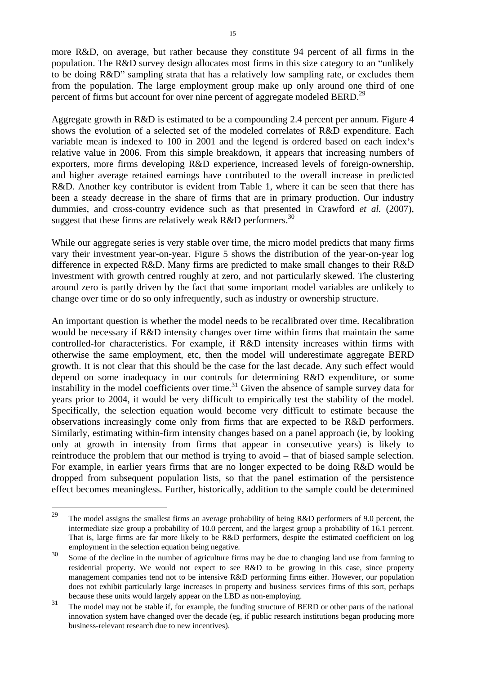more R&D, on average, but rather because they constitute 94 percent of all firms in the population. The  $R&D$  survey design allocates most firms in this size category to an "unlikely" to be doing R&D" sampling strata that has a relatively low sampling rate, or excludes them from the population. The large employment group make up only around one third of one percent of firms but account for over nine percent of aggregate modeled BERD.<sup>29</sup>

Aggregate growth in  $R&D$  is estimated to be a compounding 2.4 percent per annum. Figure 4 shows the evolution of a selected set of the modeled correlates of R&D expenditure. Each variable mean is indexed to 100 in 2001 and the legend is ordered based on each index's relative value in 2006. From this simple breakdown, it appears that increasing numbers of exporters, more firms developing R&D experience, increased levels of foreign-ownership, and higher average retained earnings have contributed to the overall increase in predicted R&D. Another key contributor is evident from Table 1, where it can be seen that there has been a steady decrease in the share of firms that are in primary production. Our industry dummies, and cross-country evidence such as that presented in Crawford *et al.* (2007), suggest that these firms are relatively weak R&D performers.<sup>30</sup>

While our aggregate series is very stable over time, the micro model predicts that many firms vary their investment year-on-year. Figure 5 shows the distribution of the year-on-year log difference in expected R&D. Many firms are predicted to make small changes to their R&D investment with growth centred roughly at zero, and not particularly skewed. The clustering around zero is partly driven by thefact that some important model variables are unlikely to change over time or do so only infrequently, such as industry or ownership structure.

An important question is whether the model needs to be recalibrated over time. Recalibration would be necessary if R&D intensity changes over time within firms that maintain the same controlled-for characteristics. For example, if R&D intensity increases within firms with otherwise the same employment, etc, then the model will underestimate aggregate BERD growth. It is not clear that this should be the case for the last decade. Any such effect would depend on some inadequacy in our controls for determining R&D expenditure, or some instability in the model coefficients over time.<sup>31</sup> Given the absence of sample survey data for years prior to 2004, it would be very difficult to empirically test the stability of the model. Specifically, the selection equation would become very difficult to estimate because the observations increasingly come only from firms that are expected to be R&D performers. Similarly, estimating within-firm intensity changes based on a panel approach (ie, by looking only at growth in intensity from firms that appear in consecutive years) is likely to reintroduce the problem that our method is trying to avoid – that of biased sample selection. For example, in earlier years firms that are no longer expected to be doing R&D would be dropped from subsequent population lists, so that the panel estimation of the persistence effect becomes meaningless. Further, historically, addition to the sample could be determined

<sup>&</sup>lt;sup>29</sup> The model assigns the smallest firms an average probability of being R&D performers of 9.0 percent, the intermediate size group a probability of 10.0 percent, and the largest group a probability of 16.1 percent. That is, large firms are far more likely to be R&D performers, despite the estimated coefficient on log employment in the selection equation being negative.

<sup>&</sup>lt;sup>30</sup> Some of the decline in the number of agriculture firms may be due to changing land use from farming to residential property. We would not expect to see R&D to be growing in this case, since property management companies tend not to be intensive R&D performing firms either. However, our population does not exhibit particularly large increases in property and business services firms of this sort, perhaps because these units would largely appear on the LBD as non-employing.

<sup>&</sup>lt;sup>31</sup> The model may not be stable if, for example, the funding structure of BERD or other parts of the national innovation system have changed over the decade (eg, if public research institutions began producing more business-relevant research due to new incentives).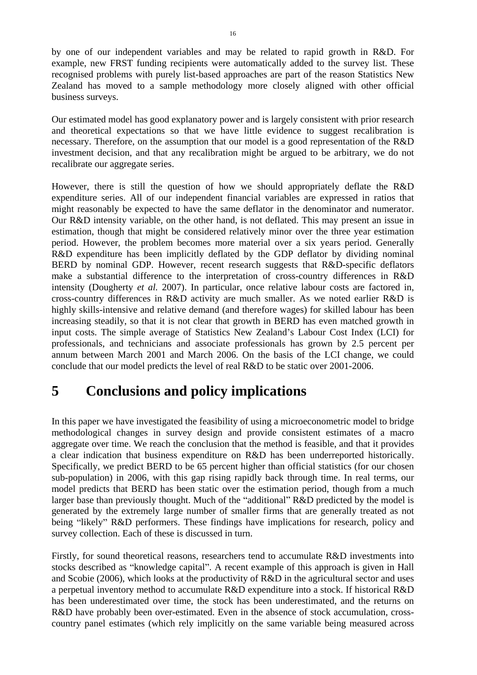by one of our independent variables and may be related to rapid growth in R&D. For example, new FRST funding recipients were automatically added to the survey list. These recognised problems with purely list-based approaches are part of the reason Statistics New Zealand has moved to a sample methodology more closely aligned with other official business surveys.

Our estimated model has good explanatory power and is largely consistent with prior research and theoretical expectations so that we have little evidence to suggest recalibration is necessary. Therefore, on the assumption that our model is a good representation of the R&D investment decision, and that any recalibration might be argued to be arbitrary, we do not recalibrate our aggregate series.

However, there is still the question of how we should appropriately deflate the R&D expenditure series. All of our independent financial variables are expressed in ratios that might reasonably be expected to have the same deflator in the denominator and numerator. Our R&D intensity variable, on the other hand, is not deflated. This may present an issue in estimation, though that might be considered relatively minor over the three year estimation period. However, the problem becomes more material over a six years period. Generally R&D expenditure has been implicitly deflated by the GDP deflator by dividing nominal BERD by nominal GDP. However, recent research suggests that R&D-specific deflators make a substantial difference to the interpretation of cross-country differences in R&D intensity (Dougherty *et al.* 2007). In particular, once relative labour costs are factored in, cross-country differences in R&D activity are much smaller. As we noted earlier R&D is highly skills-intensive and relative demand (and therefore wages) for skilled labour has been increasing steadily, so that it is not clear that growth in BERD has even matched growth in input costs. The simple average of Statistics New Zealand's Labour Cost Index (LCI) for professionals, and technicians and associate professionals has grown by 2.5 percent per annum between March 2001 and March 2006. On the basis of the LCI change, we could conclude that our model predicts the level of real R&D to be static over 2001-2006.

# **5 Conclusions and policy implications**

In this paper we have investigated the feasibility of using a microeconometric model to bridge methodological changes in survey design and provide consistent estimates of a macro aggregate over time. We reach the conclusion that the method is feasible, and that it provides a clear indication that business expenditure on R&D has been underreported historically. Specifically, we predict BERD to be 65 percent higher than official statistics (for our chosen sub-population) in 2006, with this gap rising rapidly back through time. In real terms, our model predicts that BERD has been static over the estimation period, though from a much larger base than previously thought. Much of the "additional" R&D predicted by the model is generated by the extremely large number of smaller firms that are generally treated as not being "likely" R&D performers. These findings have implications for research, policy and survey collection. Each of these is discussed in turn.

Firstly, for sound theoretical reasons, researchers tend to accumulate R&D investments into stocks described as "knowledge capital". A recent example of this approach is given in Hall and Scobie (2006), which looks at the productivity of R&D in the agricultural sector and uses a perpetual inventory method to accumulate R&D expenditure into a stock. If historical R&D has been underestimated over time, the stock has been underestimated, and the returns on R&D have probably been over-estimated. Even in the absence of stock accumulation, crosscountry panel estimates (which rely implicitly on the same variable being measured across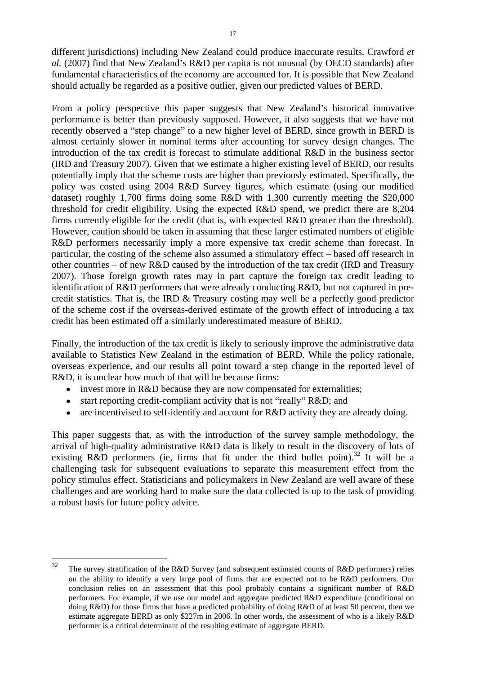different jurisdictions) including New Zealand could produce inaccurate results. Crawford *et al.* (2007) find that New Zealand's R&D per capita is not unusual (by OECD standards) after fundamental characteristics of the economy are accounted for. It is possible that New Zealand should actually be regarded as a positive outlier, given our predicted values of BERD.

From a policy perspective this paper suggests that New Zealand's historical innovative performance is better than previously supposed. However, it also suggests that we have not recently observed a "step change" to a new higher level of BERD, since growth in BERD is almost certainly slower in nominal terms after accounting for survey design changes. The introduction of the tax credit is forecast to stimulate additional R&D in the business sector (IRD and Treasury 2007). Given that we estimate a higher existing level of BERD, our results potentially imply that the scheme costs are higher than previously estimated. Specifically, the policy was costed using 2004 R&D Survey figures, which estimate (using our modified dataset) roughly 1,700 firms doing some R&D with 1,300 currently meeting the \$20,000 threshold for credit eligibility. Using the expected R&D spend, we predict there are 8,204 firms currently eligible for the credit (that is, with expected R&D greater than the threshold). However, caution should be taken in assuming that these larger estimated numbers of eligible R&D performers necessarily imply a more expensive tax credit scheme than forecast. In particular, the costing of the scheme also assumed a stimulatory effect – based off research in other countries – of new R&D caused by the introduction of the tax credit (IRD and Treasury 2007). Those foreign growth rates may in part capture the foreign tax credit leading to identification of R&D performers that were already conducting R&D, but not captured in pre credit statistics. That is, the IRD & Treasury costing may well be a perfectly good predictor of the scheme cost if the overseas-derived estimate of the growth effect of introducing a tax credit has been estimated off a similarly underestimated measure of BERD.

Finally, the introduction of the tax credit is likely to seriously improve the administrative data available to Statistics New Zealand in the estimation of BERD. While the policy rationale, overseas experience, and our results all point toward a step change in the reported level of R&D, it is unclear how much of that will be because firms:

- invest more in R&D because they are now compensated for externalities;
- $\bullet$ start reporting credit-compliant activity that is not "really" R&D; and
- are incentivised to self-identify and account for R&D activity they are already doing.  $\bullet$

This paper suggests that, as with the introduction of the survey sample methodology, the arrival of high-quality administrative R&D data is likely to result in the discovery of lots of existing R&D performers (ie, firms that fit under the third bullet point).<sup>32</sup> It will be a challenging task for subsequent evaluations to separate this measurement effect from the policy stimulus effect. Statisticians and policymakers in New Zealand are well aware of these challenges and are working hard to make sure the data collected is up to the task of providing a robust basis for future policy advice.

 $\frac{32}{100}$  The survey stratification of the R&D Survey (and subsequent estimated counts of R&D performers) relies on the ability to identify a very large pool of firms that are expected not to be R&D performers. Our conclusion relies on an assessment that this pool probably contains a significant number of R&D performers. For example, if we use our model and aggregate predicted R&D expenditure (conditional on doing R&D) for those firms that have a predicted probability of doing R&D of at least 50 percent, then we estimate aggregate BERD as only \$227m in 2006. In other words, the assessment of who is a likely R&D performer is a critical determinant of the resulting estimate of aggregate BERD.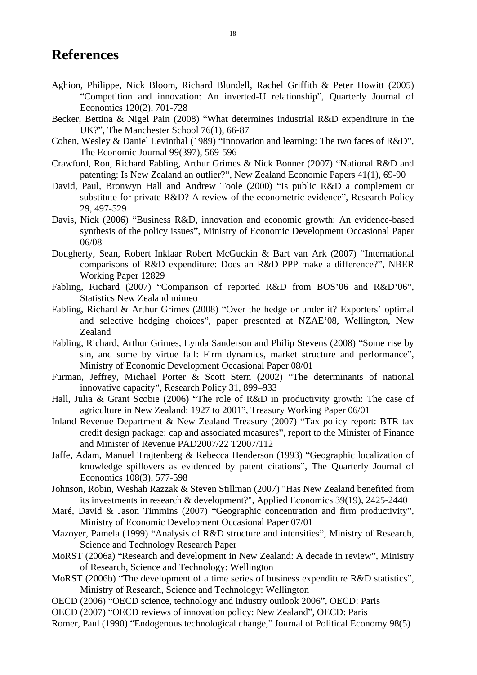## **References**

- Aghion, Philippe, Nick Bloom, Richard Blundell, Rachel Griffith & Peter Howitt (2005) "Competition and innovation: An inverted-U relationship", Quarterly Journal of Economics 120(2), 701-728
- Becker, Bettina & Nigel Pain (2008) "What determines industrial R&D expenditure in the UK?", The Manchester School  $76(1)$ , 66-87
- Cohen, Wesley & Daniel Levinthal (1989) "Innovation and learning: The two faces of  $R&D$ ". The Economic Journal 99(397), 569-596
- Crawford, Ron, Richard Fabling, Arthur Grimes & Nick Bonner (2007) "National R&D and patenting: Is New Zealand an outlier?", New Zealand Economic Papers 41(1), 69-90
- David, Paul, Bronwyn Hall and Andrew Toole (2000) "Is public R&D a complement or substitute for private  $R&D$ ? A review of the econometric evidence", Research Policy 29, 497-529
- Davis, Nick (2006) "Business R&D, innovation and economic growth: An evidence-based synthesis of the policy issues", Ministry of Economic Development Occasional Paper 06/08
- Dougherty, Sean, Robert Inklaar Robert McGuckin & Bart van Ark (2007) "International comparisons of R&D expenditure: Does an R&D PPP make a difference?", NBER Working Paper 12829
- Fabling, Richard (2007) "Comparison of reported R&D from BOS'06 and R&D'06", Statistics New Zealand mimeo
- Fabling, Richard & Arthur Grimes  $(2008)$  "Over the hedge or under it? Exporters' optimal and selective hedging choices", paper presented at NZAE'08, Wellington, New zealand and the contract of the contract of the contract of the contract of the contract of the contract of the contract of the contract of the contract of the contract of the contract of the contract of the contract of th
- Fabling, Richard, Arthur Grimes, Lynda Sanderson and Philip Stevens (2008) "Some rise by sin, and some by virtue fall: Firm dynamics, market structure and performance", Ministry of Economic Development Occasional Paper 08/01
- Furman, Jeffrey, Michael Porter & Scott Stern (2002) "The determinants of national innovative capacity", Research Policy 31, 899–933
- Hall, Julia & Grant Scobie (2006) "The role of R&D in productivity growth: The case of agriculture in New Zealand: 1927 to 2001", Treasury Working Paper 06/01
- Inland Revenue Department & New Zealand Treasury (2007) "Tax policy report: BTR tax credit design package: cap and associated measures", report to the Minister of Finance and Minister of Revenue PAD2007/22 T2007/112
- Jaffe, Adam, Manuel Trajtenberg & Rebecca Henderson (1993) "Geographic localization of knowledge spillovers as evidenced by patent citations", The Quarterly Journal of Economics 108(3), 577-598
- Johnson, Robin, Weshah Razzak & Steven Stillman (2007) "Has New Zealand benefited from its investments in research & development?", Applied Economics 39(19), 2425-2440
- Maré, David & Jason Timmins (2007) "Geographic concentration and firm productivity", Ministry of Economic Development Occasional Paper 07/01
- Mazoyer, Pamela (1999) "Analysis of R&D structure and intensities", Ministry of Research, Science and Technology Research Paper
- MoRST (2006a) "Research and development in New Zealand: A decade in review", Ministry of Research, Science and Technology: Wellington
- MoRST (2006b) "The development of a time series of business expenditure R&D statistics", Ministry of Research, Science and Technology: Wellington
- OECD (2006) "OECD science, technology and industry outlook 2006", OECD: Paris
- OECD (2007) "OECD reviews of innovation policy: New Zealand", OECD: Paris
- Romer, Paul (1990) "Endogenous technological change," Journal of Political Economy 98(5)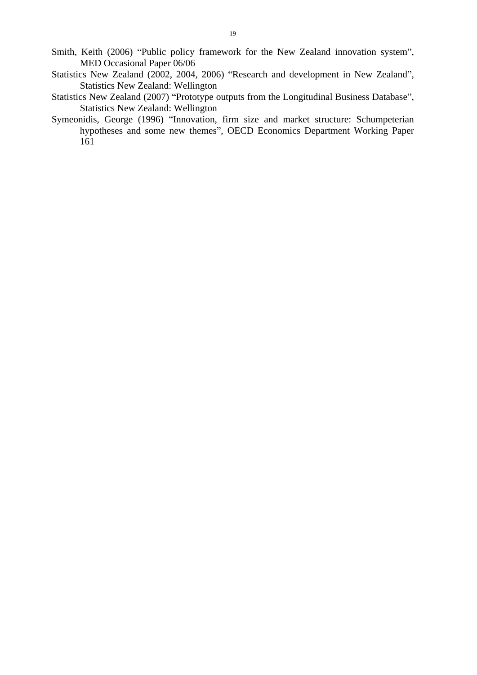- Smith, Keith (2006) "Public policy framework for the New Zealand innovation system", MED Occasional Paper 06/06
- Statistics New Zealand (2002, 2004, 2006) "Research and development in New Zealand", Statistics New Zealand: Wellington
- Statistics New Zealand (2007) "Prototype outputs from the Longitudinal Business Database", Statistics New Zealand: Wellington
- Symeonidis, George (1996) "Innovation, firm size and market structure: Schumpeterian hypotheses and some new themes", OECD Economics Department Working Paper 161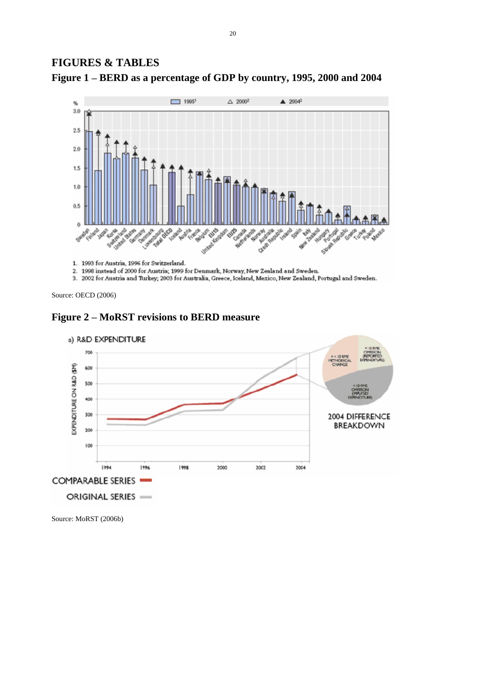### **FIGURES & TABLES**





1. 1993 for Austria, 1996 for Switzerland.

2. 1998 instead of 2000 for Austria; 1999 for Denmark, Norway, New Zealand and Sweden.

3. 2002 for Austria and Turkey; 2003 for Australia, Greece, Iceland, Mexico, New Zealand, Portugal and Sweden.

Source: OECD (2006)





Source: MoRST (2006b)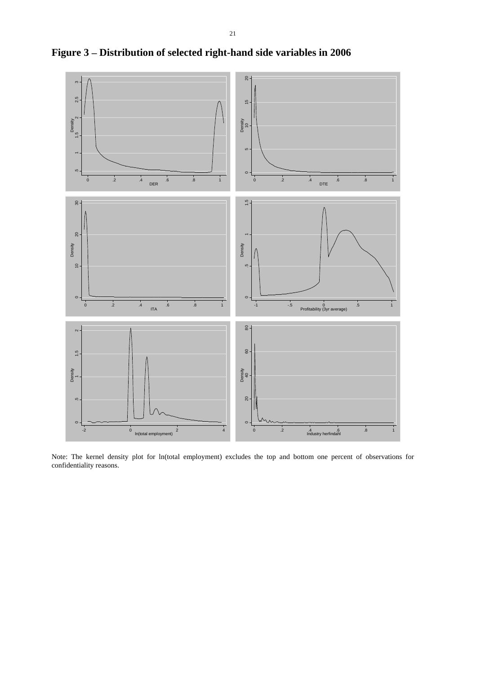

**Figure 3 Distribution of selected right-hand side variables in 2006**

Note: The kernel density plot for ln(total employment) excludes the top and bottom one percent of observations for confidentiality reasons.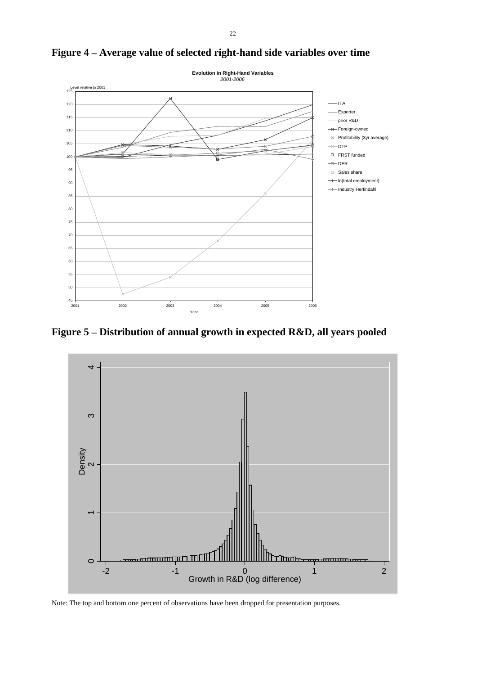

Figure 4 – Average value of selected right-hand side variables over time

Figure 5 – Distribution of annual growth in expected R&D, all years pooled



Note: The top and bottom one percent of observations have been dropped for presentation purposes.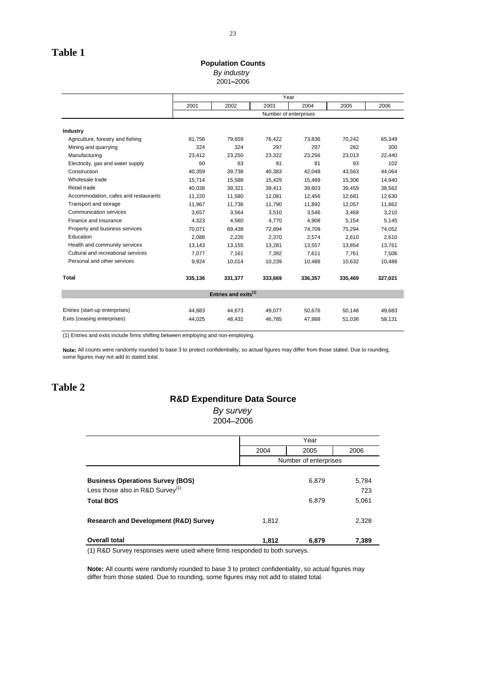#### **Population Counts**

By industry the contract of the contract of the contract of the contract of the contract of the contract of the contract of the contract of the contract of the contract of the contract of the contract of the contract of th 2001 2006

|                                      |         | Year                             |                       |         |         |         |  |
|--------------------------------------|---------|----------------------------------|-----------------------|---------|---------|---------|--|
|                                      | 2001    | 2002                             | 2003                  | 2004    | 2005    | 2006    |  |
|                                      |         |                                  | Number of enterprises |         |         |         |  |
|                                      |         |                                  |                       |         |         |         |  |
| Industry                             |         |                                  |                       |         |         |         |  |
| Agriculture, forestry and fishing    | 81,756  | 79,659                           | 76,422                | 73,836  | 70,242  | 65,349  |  |
| Mining and quarrying                 | 324     | 324                              | 297                   | 297     | 282     | 300     |  |
| Manufacturing                        | 23,412  | 23,250                           | 23,322                | 23,256  | 23,013  | 22,440  |  |
| Electricity, gas and water supply    | 60      | 63                               | 81                    | -81     | 93      | 102     |  |
| Construction                         | 40,359  | 39,738                           | 40,383                | 42,048  | 43,563  | 44,064  |  |
| Wholesale trade                      | 15,714  | 15,588                           | 15,429                | 15,489  | 15,306  | 14,940  |  |
| Retail trade                         | 40,038  | 39,321                           | 39,411                | 39,603  | 39,459  | 38,562  |  |
| Accommodation, cafes and restaurants | 11,220  | 11,580                           | 12,081                | 12,456  | 12,681  | 12,630  |  |
| Transport and storage                | 11,967  | 11,736                           | 11,790                | 11,892  | 12,057  | 11,862  |  |
| Communication services               | 3,657   | 3,564                            | 3,510                 | 3,546   | 3,468   | 3,210   |  |
| Finance and insurance                | 4,323   | 4,560                            | 4,770                 | 4,908   | 5,154   | 5,145   |  |
| Property and business services       | 70,071  | 69,438                           | 72,894                | 74,709  | 75,294  | 74,052  |  |
| Education                            | 2,088   | 2,226                            | 2,370                 | 2,574   | 2,610   | 2,610   |  |
| Health and community services        | 13,143  | 13,155                           | 13,281                | 13,557  | 13,854  | 13,761  |  |
| Cultural and recreational services   | 7,077   | 7,161                            | 7,392                 | 7,611   | 7,761   | 7,506   |  |
| Personal and other services          | 9,924   | 10,014                           | 10,239                | 10,488  | 10,632  | 10,488  |  |
|                                      |         |                                  |                       |         |         |         |  |
| Total                                | 335,136 | 331,377                          | 333,669               | 336,357 | 335,469 | 327,021 |  |
|                                      |         | Entries and exits <sup>(1)</sup> |                       |         |         |         |  |
|                                      |         |                                  |                       |         |         |         |  |
| Entries (start-up enterprises)       | 44,883  | 44,673                           | 49,077                | 50,676  | 50,148  | 49,683  |  |
| Exits (ceasing enterprises)          | 44,025  | 48,432                           | 46,785                | 47,988  | 51,036  | 58,131  |  |
|                                      |         |                                  |                       |         |         |         |  |

(1) Entries and exits include firms shifting between employing and non-employing.

**Note:** All counts were randomly rounded to base 3 to protect confidentiality, so actual figures may differ from those stated. Due to rounding, some figures may not add to stated total.

### **Table 2**

#### **R&D Expenditure Data Source**

By survey and the state of the state of the state of the state of the state of the state of the state of the state of the state of the state of the state of the state of the state of the state of the state of the state of 2004 2006

|                                                  |       | ′≏≏r                  |       |
|--------------------------------------------------|-------|-----------------------|-------|
|                                                  | 2004  | 2005                  | 2006  |
|                                                  |       | Number of enterprises |       |
|                                                  |       |                       |       |
| <b>Business Operations Survey (BOS)</b>          |       | 6,879                 | 5,784 |
| Less those also in R&D Survey <sup>(1)</sup>     |       |                       | 723   |
| <b>Total BOS</b>                                 |       | 6,879                 | 5,061 |
| <b>Research and Development (R&amp;D) Survey</b> | 1,812 |                       | 2,328 |
|                                                  |       |                       |       |
| <b>Overall total</b>                             | 1,812 | 6,879                 | 7,389 |

(1) R&D Survey responses were used where firms responded to both surveys.

**Note:** All counts were randomly rounded to base 3 to protect confidentiality, so actual figures may differ from those stated. Due to rounding, some figures may not add to stated total.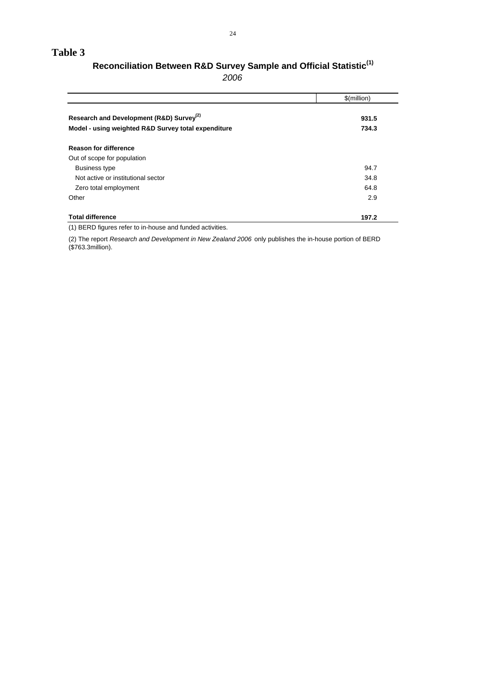#### **Table 3**

## **Reconciliation Between R&D Survey Sample and Official Statistic(1)**

2006

|                                                      | \$(million) |
|------------------------------------------------------|-------------|
| Research and Development (R&D) Survey <sup>(2)</sup> | 931.5       |
| Model - using weighted R&D Survey total expenditure  | 734.3       |
| <b>Reason for difference</b>                         |             |
| Out of scope for population                          |             |
| <b>Business type</b>                                 | 94.7        |
| Not active or institutional sector                   | 34.8        |
| Zero total employment                                | 64.8        |
| Other                                                | 2.9         |
| <b>Total difference</b>                              | 197.2       |

(1) BERD figures refer to in-house and funded activities.

(2) The report Research and Development in New Zealand 2006 only publishes the in-house portion of BERD (\$763.3million).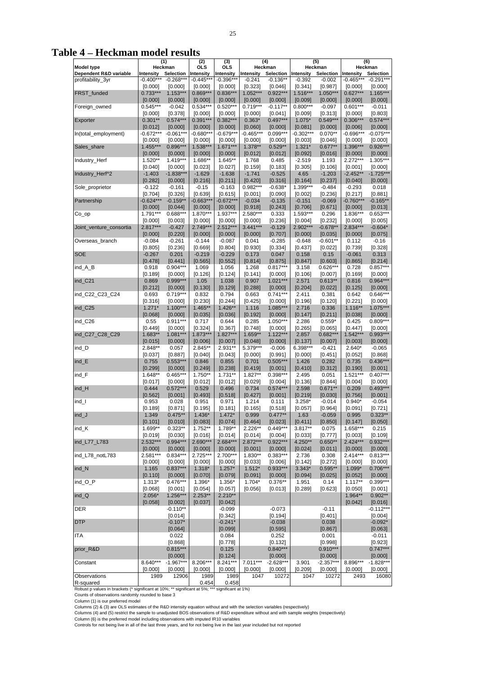25 and 20 and 20 and 20 and 20 and 20 and 20 and 20 and 20 and 20 and 20 and 20 and 20 and 20 and 20 and 20 and 20 and 20 and 20 and 20 and 20 and 20 and 20 and 20 and 20 and 20 and 20 and 20 and 20 and 20 and 20 and 20 an

Table 4 - Heckman model results

| Model type<br>Dependent R&D variable<br>profitability_3yr                                                                                                                                                                                                             | $[0.000]$             | Heckman<br>Intensity Selection<br>-0.400*** -0.268***<br>$[0.000]$<br>$0.733***$ 1.153***<br>$\begin{bmatrix} .0.000 \\ 0.000 \\ 0.000 \\ 0.545^{***} & -0.042 \\ 0.000 \\ 0.000 \\ 0.001 \\ 0.001 \\ -0.672^{***} & -0.0681^{***} \\ 0.0001 \\ -0.672^{***} & -0.061^{***} \\ 0.0001 \\ -0.672^{***} & -0.061^{***} \\ 0.0001 \\ -0.672^{***} & -0.061^{***} \\ 0.0001 \\ -0.0001 \\ 0.0001 \\ -0.0001 \\ 0.001 \\ 0.0$ |                        | $\begin{array}{ c c c c }\n\hline\n\text{OLS} & \text{OLS} & \text{OLS} \\ \hline\n\text{Intensity} & \text{Intensity} & \text{non-} \\ \hline\n\end{array}$ |         | Heckman                                                                                                                       | Heckman<br>n Intensity Intensity Intensity Selection Intensity Selection Intensity Selection<br>** -0.445*** -0.396*** -0.241 -0.136** -0.392 -0.002 -0.465*** -0.291***<br>10.000] [0.000] [0.323] [0.046] [0.341] [0.987] [0.000] [0.000]<br> | Heckman                                                                                                                                                                                                                                                                                                                                                                                                                                                                                                                                                           |
|-----------------------------------------------------------------------------------------------------------------------------------------------------------------------------------------------------------------------------------------------------------------------|-----------------------|--------------------------------------------------------------------------------------------------------------------------------------------------------------------------------------------------------------------------------------------------------------------------------------------------------------------------------------------------------------------------------------------------------------------------|------------------------|--------------------------------------------------------------------------------------------------------------------------------------------------------------|---------|-------------------------------------------------------------------------------------------------------------------------------|-------------------------------------------------------------------------------------------------------------------------------------------------------------------------------------------------------------------------------------------------|-------------------------------------------------------------------------------------------------------------------------------------------------------------------------------------------------------------------------------------------------------------------------------------------------------------------------------------------------------------------------------------------------------------------------------------------------------------------------------------------------------------------------------------------------------------------|
| Foreign_owned<br>In(total_employment)                                                                                                                                                                                                                                 |                       |                                                                                                                                                                                                                                                                                                                                                                                                                          |                        |                                                                                                                                                              |         |                                                                                                                               |                                                                                                                                                                                                                                                 |                                                                                                                                                                                                                                                                                                                                                                                                                                                                                                                                                                   |
| FRST_funded<br>Exporter<br>Sales_share<br>Industry_Herf<br>Industry_Herf^2                                                                                                                                                                                            |                       |                                                                                                                                                                                                                                                                                                                                                                                                                          |                        |                                                                                                                                                              |         |                                                                                                                               |                                                                                                                                                                                                                                                 |                                                                                                                                                                                                                                                                                                                                                                                                                                                                                                                                                                   |
|                                                                                                                                                                                                                                                                       |                       |                                                                                                                                                                                                                                                                                                                                                                                                                          |                        |                                                                                                                                                              |         |                                                                                                                               |                                                                                                                                                                                                                                                 |                                                                                                                                                                                                                                                                                                                                                                                                                                                                                                                                                                   |
|                                                                                                                                                                                                                                                                       |                       |                                                                                                                                                                                                                                                                                                                                                                                                                          |                        |                                                                                                                                                              |         |                                                                                                                               |                                                                                                                                                                                                                                                 |                                                                                                                                                                                                                                                                                                                                                                                                                                                                                                                                                                   |
|                                                                                                                                                                                                                                                                       |                       |                                                                                                                                                                                                                                                                                                                                                                                                                          |                        |                                                                                                                                                              |         |                                                                                                                               |                                                                                                                                                                                                                                                 |                                                                                                                                                                                                                                                                                                                                                                                                                                                                                                                                                                   |
|                                                                                                                                                                                                                                                                       |                       |                                                                                                                                                                                                                                                                                                                                                                                                                          |                        |                                                                                                                                                              |         |                                                                                                                               |                                                                                                                                                                                                                                                 |                                                                                                                                                                                                                                                                                                                                                                                                                                                                                                                                                                   |
|                                                                                                                                                                                                                                                                       |                       |                                                                                                                                                                                                                                                                                                                                                                                                                          |                        |                                                                                                                                                              |         |                                                                                                                               |                                                                                                                                                                                                                                                 |                                                                                                                                                                                                                                                                                                                                                                                                                                                                                                                                                                   |
|                                                                                                                                                                                                                                                                       |                       |                                                                                                                                                                                                                                                                                                                                                                                                                          |                        |                                                                                                                                                              |         |                                                                                                                               |                                                                                                                                                                                                                                                 | $\begin{bmatrix} 0.000] & [0.000] & [0.000] & [0.000] & [0.000] & [0.000] & [0.000] & [0.000] & [0.000] & [0.000] & [0.000] & [0.000] & [0.000] & [0.000] & [0.000] & [0.000] & [0.000] & [0.000] & [0.000] & [0.000] & [0.000] & [0.000] & [0.000] & [0.000] & [0.000] & [0.000] & [0.000$                                                                                                                                                                                                                                                                       |
|                                                                                                                                                                                                                                                                       |                       | $[0.000]$ $[0.000]$                                                                                                                                                                                                                                                                                                                                                                                                      |                        |                                                                                                                                                              |         |                                                                                                                               |                                                                                                                                                                                                                                                 |                                                                                                                                                                                                                                                                                                                                                                                                                                                                                                                                                                   |
|                                                                                                                                                                                                                                                                       |                       | $1.520**$ $1.419***$                                                                                                                                                                                                                                                                                                                                                                                                     |                        |                                                                                                                                                              |         |                                                                                                                               |                                                                                                                                                                                                                                                 |                                                                                                                                                                                                                                                                                                                                                                                                                                                                                                                                                                   |
|                                                                                                                                                                                                                                                                       | [0.040]               | [0.000]<br>$-1.403 - 1.838***$                                                                                                                                                                                                                                                                                                                                                                                           |                        |                                                                                                                                                              |         |                                                                                                                               |                                                                                                                                                                                                                                                 |                                                                                                                                                                                                                                                                                                                                                                                                                                                                                                                                                                   |
|                                                                                                                                                                                                                                                                       |                       | $[0.282]$ $[0.000]$                                                                                                                                                                                                                                                                                                                                                                                                      |                        |                                                                                                                                                              |         |                                                                                                                               |                                                                                                                                                                                                                                                 |                                                                                                                                                                                                                                                                                                                                                                                                                                                                                                                                                                   |
| Sole_proprietor                                                                                                                                                                                                                                                       |                       | $-0.122 - 0.161$                                                                                                                                                                                                                                                                                                                                                                                                         |                        |                                                                                                                                                              |         |                                                                                                                               |                                                                                                                                                                                                                                                 | $\begin{tabular}{c c c c c} \multicolumn{1}{c}{\textbf{1.538}}\textbf{1.671}} & \multicolumn{1}{c}{\textbf{1.538}}\begin{tabular}{c}{\textbf{1.538}}\textbf{2.616}} & \multicolumn{1}{c}{\textbf{1.538}}\textbf{3.627}} & \multicolumn{1}{c}{\textbf{1.538}}\begin{tabular}{c}{\textbf{2.58}}\textbf{1.636}} & \multicolumn{1}{c}{\textbf{2.59}}\textbf{1.586}} & \multicolumn{1}{c}{\textbf{2.59}}\text$                                                                                                                                                         |
| Partnership                                                                                                                                                                                                                                                           |                       | $\begin{array}{ c c } \hline \text{[0.704]} & \text{[0.326]} \\ \hline \text{-0.624***} & \text{-0.159**} \end{array}$                                                                                                                                                                                                                                                                                                   |                        |                                                                                                                                                              |         |                                                                                                                               |                                                                                                                                                                                                                                                 |                                                                                                                                                                                                                                                                                                                                                                                                                                                                                                                                                                   |
|                                                                                                                                                                                                                                                                       |                       | $[0.000]$ $[0.044]$                                                                                                                                                                                                                                                                                                                                                                                                      |                        |                                                                                                                                                              |         |                                                                                                                               |                                                                                                                                                                                                                                                 |                                                                                                                                                                                                                                                                                                                                                                                                                                                                                                                                                                   |
| $Co\_op$                                                                                                                                                                                                                                                              |                       | $1.791***$ 0.688***                                                                                                                                                                                                                                                                                                                                                                                                      |                        |                                                                                                                                                              |         |                                                                                                                               |                                                                                                                                                                                                                                                 |                                                                                                                                                                                                                                                                                                                                                                                                                                                                                                                                                                   |
| Joint_venture_consortia                                                                                                                                                                                                                                               | $[0.000]$<br>2.817*** | $[0.003]$<br>-0.427                                                                                                                                                                                                                                                                                                                                                                                                      |                        |                                                                                                                                                              |         |                                                                                                                               |                                                                                                                                                                                                                                                 |                                                                                                                                                                                                                                                                                                                                                                                                                                                                                                                                                                   |
|                                                                                                                                                                                                                                                                       | [0.000]<br>$-0.084$   | [0.220]<br>$-0.261$                                                                                                                                                                                                                                                                                                                                                                                                      |                        |                                                                                                                                                              |         |                                                                                                                               |                                                                                                                                                                                                                                                 |                                                                                                                                                                                                                                                                                                                                                                                                                                                                                                                                                                   |
| Overseas_branch                                                                                                                                                                                                                                                       | [0.805]               | [0.236]                                                                                                                                                                                                                                                                                                                                                                                                                  |                        |                                                                                                                                                              |         |                                                                                                                               |                                                                                                                                                                                                                                                 |                                                                                                                                                                                                                                                                                                                                                                                                                                                                                                                                                                   |
| SOE                                                                                                                                                                                                                                                                   | $-0.267$              | 0.201                                                                                                                                                                                                                                                                                                                                                                                                                    |                        |                                                                                                                                                              |         |                                                                                                                               |                                                                                                                                                                                                                                                 |                                                                                                                                                                                                                                                                                                                                                                                                                                                                                                                                                                   |
| ind_A_B                                                                                                                                                                                                                                                               | [0.478]               | [0.441]<br>$0.918$ $0.904***$                                                                                                                                                                                                                                                                                                                                                                                            |                        |                                                                                                                                                              |         |                                                                                                                               |                                                                                                                                                                                                                                                 |                                                                                                                                                                                                                                                                                                                                                                                                                                                                                                                                                                   |
|                                                                                                                                                                                                                                                                       | [0.189]               | [0.000]                                                                                                                                                                                                                                                                                                                                                                                                                  |                        |                                                                                                                                                              |         |                                                                                                                               |                                                                                                                                                                                                                                                 |                                                                                                                                                                                                                                                                                                                                                                                                                                                                                                                                                                   |
| ind_C21                                                                                                                                                                                                                                                               | 0.869<br>[0.212]      | $0.999***$<br>[0.000]                                                                                                                                                                                                                                                                                                                                                                                                    |                        |                                                                                                                                                              |         |                                                                                                                               |                                                                                                                                                                                                                                                 |                                                                                                                                                                                                                                                                                                                                                                                                                                                                                                                                                                   |
| ind_C22_C23_C24                                                                                                                                                                                                                                                       | 0.693                 | $0.719***$                                                                                                                                                                                                                                                                                                                                                                                                               |                        |                                                                                                                                                              |         |                                                                                                                               |                                                                                                                                                                                                                                                 |                                                                                                                                                                                                                                                                                                                                                                                                                                                                                                                                                                   |
|                                                                                                                                                                                                                                                                       |                       |                                                                                                                                                                                                                                                                                                                                                                                                                          |                        |                                                                                                                                                              |         |                                                                                                                               |                                                                                                                                                                                                                                                 |                                                                                                                                                                                                                                                                                                                                                                                                                                                                                                                                                                   |
| ind_C25                                                                                                                                                                                                                                                               |                       |                                                                                                                                                                                                                                                                                                                                                                                                                          |                        |                                                                                                                                                              |         |                                                                                                                               |                                                                                                                                                                                                                                                 |                                                                                                                                                                                                                                                                                                                                                                                                                                                                                                                                                                   |
| ind_C26                                                                                                                                                                                                                                                               |                       |                                                                                                                                                                                                                                                                                                                                                                                                                          |                        |                                                                                                                                                              |         |                                                                                                                               |                                                                                                                                                                                                                                                 |                                                                                                                                                                                                                                                                                                                                                                                                                                                                                                                                                                   |
|                                                                                                                                                                                                                                                                       |                       |                                                                                                                                                                                                                                                                                                                                                                                                                          |                        |                                                                                                                                                              |         |                                                                                                                               |                                                                                                                                                                                                                                                 |                                                                                                                                                                                                                                                                                                                                                                                                                                                                                                                                                                   |
| ind_C27_C28_C29                                                                                                                                                                                                                                                       |                       |                                                                                                                                                                                                                                                                                                                                                                                                                          |                        |                                                                                                                                                              |         |                                                                                                                               |                                                                                                                                                                                                                                                 |                                                                                                                                                                                                                                                                                                                                                                                                                                                                                                                                                                   |
| ind_D                                                                                                                                                                                                                                                                 |                       |                                                                                                                                                                                                                                                                                                                                                                                                                          |                        |                                                                                                                                                              |         |                                                                                                                               |                                                                                                                                                                                                                                                 |                                                                                                                                                                                                                                                                                                                                                                                                                                                                                                                                                                   |
| $ind_E$                                                                                                                                                                                                                                                               | [0.037]<br>0.755      | [0.887]<br>$0.553***$                                                                                                                                                                                                                                                                                                                                                                                                    |                        |                                                                                                                                                              |         |                                                                                                                               |                                                                                                                                                                                                                                                 |                                                                                                                                                                                                                                                                                                                                                                                                                                                                                                                                                                   |
|                                                                                                                                                                                                                                                                       |                       | $[0.299]$ $[0.000]$                                                                                                                                                                                                                                                                                                                                                                                                      |                        |                                                                                                                                                              |         |                                                                                                                               |                                                                                                                                                                                                                                                 |                                                                                                                                                                                                                                                                                                                                                                                                                                                                                                                                                                   |
| ind_F                                                                                                                                                                                                                                                                 |                       | $1.648**$ 0.465***                                                                                                                                                                                                                                                                                                                                                                                                       |                        |                                                                                                                                                              |         |                                                                                                                               |                                                                                                                                                                                                                                                 | $\begin{array}{c cccc cccc} 2.845^{34} & 2.931^{34} & 5.379^{34} & -0.006 & 6.398^{34} & -0.421 & 2.640^{34} & 0.006 \\ \hline [0.040] & [0.043] & [0.000] & [0.991] & [0.000] & [0.451] & [0.062] & [0.868] \\ \hline 0.846 & 0.855 & 0.701 & 0.505^{44} & 1.426 & 0.282 & 0.735 & 0.486^{444$                                                                                                                                                                                                                                                                   |
| $ind_H$                                                                                                                                                                                                                                                               | [0.017]               | [0.000]<br>$0.444$ $0.572***$                                                                                                                                                                                                                                                                                                                                                                                            |                        |                                                                                                                                                              |         |                                                                                                                               |                                                                                                                                                                                                                                                 |                                                                                                                                                                                                                                                                                                                                                                                                                                                                                                                                                                   |
|                                                                                                                                                                                                                                                                       |                       | $[0.562]$ $[0.001]$                                                                                                                                                                                                                                                                                                                                                                                                      |                        |                                                                                                                                                              |         |                                                                                                                               |                                                                                                                                                                                                                                                 |                                                                                                                                                                                                                                                                                                                                                                                                                                                                                                                                                                   |
| ind_l                                                                                                                                                                                                                                                                 | 0.953                 | 0.028                                                                                                                                                                                                                                                                                                                                                                                                                    |                        |                                                                                                                                                              |         |                                                                                                                               |                                                                                                                                                                                                                                                 |                                                                                                                                                                                                                                                                                                                                                                                                                                                                                                                                                                   |
| $\mathsf{ind}\_\mathsf{J}$                                                                                                                                                                                                                                            |                       |                                                                                                                                                                                                                                                                                                                                                                                                                          |                        |                                                                                                                                                              |         |                                                                                                                               |                                                                                                                                                                                                                                                 |                                                                                                                                                                                                                                                                                                                                                                                                                                                                                                                                                                   |
|                                                                                                                                                                                                                                                                       |                       |                                                                                                                                                                                                                                                                                                                                                                                                                          |                        |                                                                                                                                                              |         |                                                                                                                               |                                                                                                                                                                                                                                                 | [0.101]   [0.010]   [0.083]   [0.074]   [0.464]   [0.023]   [0.411]   [0.850]   [0.147]   [0.050]                                                                                                                                                                                                                                                                                                                                                                                                                                                                 |
| $ind_K$                                                                                                                                                                                                                                                               | $1.699**$<br>[0.019]  | $0.323**$<br>[0.030]                                                                                                                                                                                                                                                                                                                                                                                                     | $1.752**$<br>[0.016]   | [0.014]                                                                                                                                                      |         | $[0.014] \qquad [0.004]$                                                                                                      |                                                                                                                                                                                                                                                 | $\left[1.789**\right]$ 2.226** 0.449*** 3.817** 0.075 1.658*** 0.215<br>$[0.033]$ $[0.777]$ $[0.003]$ $[0.109]$                                                                                                                                                                                                                                                                                                                                                                                                                                                   |
| ind_L77_L783                                                                                                                                                                                                                                                          |                       | $2.532***$ 0.994***                                                                                                                                                                                                                                                                                                                                                                                                      |                        |                                                                                                                                                              |         |                                                                                                                               |                                                                                                                                                                                                                                                 | 2.690*** 2.684*** 2.872*** 0.922*** 4.250** 0.650** 2.424*** 0.932***                                                                                                                                                                                                                                                                                                                                                                                                                                                                                             |
| ind_L78_notL783                                                                                                                                                                                                                                                       |                       | $[0.000]$ $[0.000]$                                                                                                                                                                                                                                                                                                                                                                                                      |                        |                                                                                                                                                              |         |                                                                                                                               |                                                                                                                                                                                                                                                 | $\begin{bmatrix} 0.000 \end{bmatrix}$ $\begin{bmatrix} 0.000 \end{bmatrix}$ $\begin{bmatrix} 0.001 \end{bmatrix}$ $\begin{bmatrix} 0.000 \end{bmatrix}$ $\begin{bmatrix} 0.011 \end{bmatrix}$ $\begin{bmatrix} 0.000 \end{bmatrix}$ $\begin{bmatrix} 0.000 \end{bmatrix}$<br>$\left  \begin{array}{cc} 2.581*** & 0.834*** \end{array} \right  \left. \begin{array}{cc} 2.725*** & 2.700*** & 1.830** & 0.383*** \end{array} \right  \left. \begin{array}{cc} 2.736 & 0.308 \end{array} \right  \left. \begin{array}{cc} 2.414*** & 0.813*** \end{array} \right.$ |
|                                                                                                                                                                                                                                                                       | [0.000]               | [0.000]                                                                                                                                                                                                                                                                                                                                                                                                                  | [0.000]                | [0.000]                                                                                                                                                      | [0.033] | [0.006]                                                                                                                       | [0.142]                                                                                                                                                                                                                                         | $[0.272]$ $[0.000]$ $[0.000]$                                                                                                                                                                                                                                                                                                                                                                                                                                                                                                                                     |
| ind_N                                                                                                                                                                                                                                                                 |                       | $1.165$ $0.837***$<br>$[0.110]$ $[0.000]$                                                                                                                                                                                                                                                                                                                                                                                |                        |                                                                                                                                                              |         | $[0.070]$ $[0.079]$ $[0.091]$ $[0.000]$ $[0.094]$                                                                             |                                                                                                                                                                                                                                                 | $1.318$ * 1.257* 1.512* 0.933*** 3.343* 0.595** 1.099* 0.706**<br>$[0.025]$ $[0.052]$ $[0.000]$                                                                                                                                                                                                                                                                                                                                                                                                                                                                   |
| ind_O_P                                                                                                                                                                                                                                                               |                       | $1.313*0.476***$                                                                                                                                                                                                                                                                                                                                                                                                         | $1.396*$               | $1.356*$                                                                                                                                                     |         | $1.704*$ 0.376**                                                                                                              | 1.951                                                                                                                                                                                                                                           | $0.14$ 1.117** $0.399$ ***                                                                                                                                                                                                                                                                                                                                                                                                                                                                                                                                        |
|                                                                                                                                                                                                                                                                       | [0.068]               | [0.001]                                                                                                                                                                                                                                                                                                                                                                                                                  | [0.054]                | [0.057]                                                                                                                                                      |         | $[0.056]$ $[0.013]$                                                                                                           |                                                                                                                                                                                                                                                 | $[0.289]$ $[0.623]$ $[0.050]$ $[0.001]$                                                                                                                                                                                                                                                                                                                                                                                                                                                                                                                           |
| $ind_Q$                                                                                                                                                                                                                                                               |                       | $2.056*$ 1.256***<br>$[0.058]$ $[0.002]$ $[0.037]$ $[0.042]$                                                                                                                                                                                                                                                                                                                                                             | $\vert$ 2.253** 2.210* |                                                                                                                                                              |         |                                                                                                                               |                                                                                                                                                                                                                                                 | $1.964**$ 0.902**<br>$[0.042]$ $[0.016]$                                                                                                                                                                                                                                                                                                                                                                                                                                                                                                                          |
| <b>DER</b>                                                                                                                                                                                                                                                            |                       | $-0.110**$                                                                                                                                                                                                                                                                                                                                                                                                               |                        | $-0.099$                                                                                                                                                     |         | $-0.073$                                                                                                                      | $-0.11$                                                                                                                                                                                                                                         | $-0.112***$                                                                                                                                                                                                                                                                                                                                                                                                                                                                                                                                                       |
| <b>DTP</b>                                                                                                                                                                                                                                                            |                       | [0.014]<br>$-0.107*$                                                                                                                                                                                                                                                                                                                                                                                                     |                        | [0.342]<br>$-0.241*$                                                                                                                                         |         | [0.194]<br>$-0.038$                                                                                                           | [0.401]<br>0.038                                                                                                                                                                                                                                | [0.004]<br>$-0.092*$                                                                                                                                                                                                                                                                                                                                                                                                                                                                                                                                              |
|                                                                                                                                                                                                                                                                       |                       | [0.064]                                                                                                                                                                                                                                                                                                                                                                                                                  |                        | [0.099]                                                                                                                                                      |         | [0.595]                                                                                                                       | [0.867]                                                                                                                                                                                                                                         | [0.063]                                                                                                                                                                                                                                                                                                                                                                                                                                                                                                                                                           |
| ITA                                                                                                                                                                                                                                                                   |                       | 0.022                                                                                                                                                                                                                                                                                                                                                                                                                    |                        | 0.084                                                                                                                                                        |         | 0.252                                                                                                                         | 0.001                                                                                                                                                                                                                                           | $-0.011$                                                                                                                                                                                                                                                                                                                                                                                                                                                                                                                                                          |
| prior_R&D                                                                                                                                                                                                                                                             |                       | [0.868]<br>$0.815***$                                                                                                                                                                                                                                                                                                                                                                                                    |                        | [0.778]<br>0.125                                                                                                                                             |         | [0.132]<br>$0.840***$                                                                                                         | [0.998]<br>$0.910***$                                                                                                                                                                                                                           | [0.923]<br>$0.747***$                                                                                                                                                                                                                                                                                                                                                                                                                                                                                                                                             |
|                                                                                                                                                                                                                                                                       |                       | [0.000]                                                                                                                                                                                                                                                                                                                                                                                                                  |                        | [0.124]                                                                                                                                                      |         | [0.000]                                                                                                                       | [0.000]                                                                                                                                                                                                                                         | [0.000]                                                                                                                                                                                                                                                                                                                                                                                                                                                                                                                                                           |
| Constant                                                                                                                                                                                                                                                              |                       | 8.640*** -1.967***<br>$[0.000]$ $[0.000]$                                                                                                                                                                                                                                                                                                                                                                                | 8.206***<br>[0.000]    | 8.241***<br>[0.000]                                                                                                                                          |         | 7.011*** -2.628***<br>$[0.000]$ $[0.000]$                                                                                     |                                                                                                                                                                                                                                                 | 3.901 -2.357*** 8.896*** -1.828**<br>$[0.209]$ $[0.000]$ $[0.000]$ $[0.000]$                                                                                                                                                                                                                                                                                                                                                                                                                                                                                      |
| Observations                                                                                                                                                                                                                                                          |                       | 1989 12906                                                                                                                                                                                                                                                                                                                                                                                                               | 1989                   | 1989                                                                                                                                                         | 1047    | 10272                                                                                                                         | 1047 10272                                                                                                                                                                                                                                      | 2493 16080                                                                                                                                                                                                                                                                                                                                                                                                                                                                                                                                                        |
| R-squared                                                                                                                                                                                                                                                             |                       |                                                                                                                                                                                                                                                                                                                                                                                                                          | 0.454                  | 0458                                                                                                                                                         |         |                                                                                                                               |                                                                                                                                                                                                                                                 |                                                                                                                                                                                                                                                                                                                                                                                                                                                                                                                                                                   |
| Robust p values in brackets (* significant at 10%; ** significant at 5%; *** significant at 1%)<br>Counts of observations randomly rounded to base 3                                                                                                                  |                       |                                                                                                                                                                                                                                                                                                                                                                                                                          |                        |                                                                                                                                                              |         |                                                                                                                               |                                                                                                                                                                                                                                                 |                                                                                                                                                                                                                                                                                                                                                                                                                                                                                                                                                                   |
| Column (1) is our preferred model                                                                                                                                                                                                                                     |                       |                                                                                                                                                                                                                                                                                                                                                                                                                          |                        |                                                                                                                                                              |         |                                                                                                                               |                                                                                                                                                                                                                                                 |                                                                                                                                                                                                                                                                                                                                                                                                                                                                                                                                                                   |
| Columns (2) & (3) are OLS estimates of the R&D intensity equation without and with the selection variables (respectively)<br>Columns (4) and (5) restrict the sample to unadjusted BOS observations of R&D expenditure without and with sample weights (respectively) |                       |                                                                                                                                                                                                                                                                                                                                                                                                                          |                        |                                                                                                                                                              |         |                                                                                                                               |                                                                                                                                                                                                                                                 |                                                                                                                                                                                                                                                                                                                                                                                                                                                                                                                                                                   |
| Column (6) is the preferred model including observations with imputed IR10 variables                                                                                                                                                                                  |                       |                                                                                                                                                                                                                                                                                                                                                                                                                          |                        |                                                                                                                                                              |         | Controls for not being live in all of the last three years, and for not being live in the last year included but not reported |                                                                                                                                                                                                                                                 |                                                                                                                                                                                                                                                                                                                                                                                                                                                                                                                                                                   |